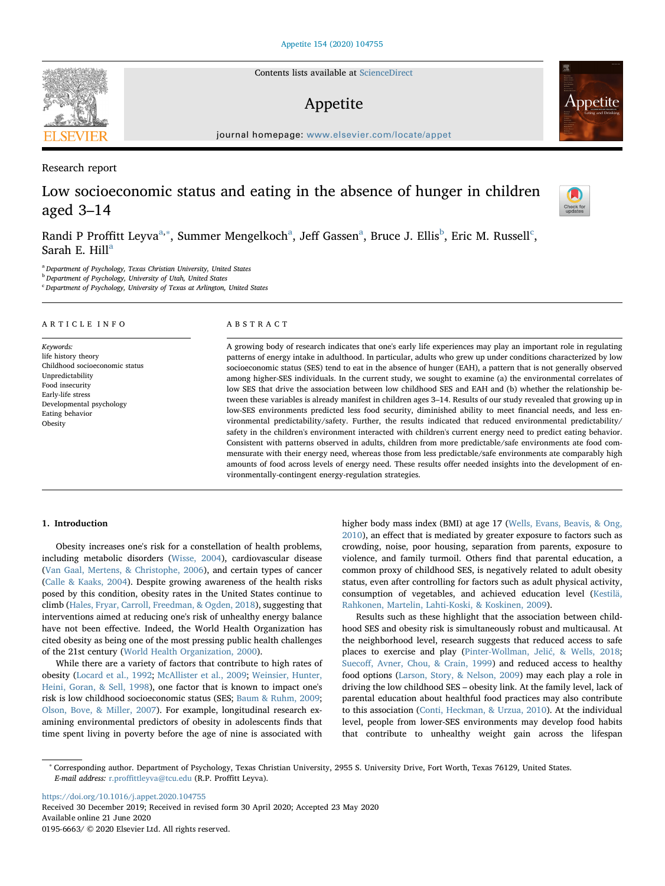Contents lists available at [ScienceDirect](http://www.sciencedirect.com/science/journal/01956663)

# Appetite

journal homepage: [www.elsevier.com/locate/appet](https://www.elsevier.com/locate/appet)

Research report

# Low socioeconomic status and eating in the absence of hunger in children aged 3–14

R[a](#page-0-0)ndi P Proffitt Leyva<sup>a,</sup>\*, Summer Mengelkoch<sup>a</sup>, Jeff Gassen<sup>a</sup>, Bruce J. Ellis<sup>[b](#page-0-2)</sup>, Eri[c](#page-0-3) M. Russell<sup>c</sup>, S[a](#page-0-0)rah E. Hill<sup>a</sup>

<span id="page-0-0"></span><sup>a</sup> Department of Psychology, Texas Christian University, United States

<span id="page-0-2"></span>**b** Department of Psychology, University of Utah, United States

<span id="page-0-3"></span><sup>c</sup> Department of Psychology, University of Texas at Arlington, United States

## ARTICLE INFO

Keywords: life history theory Childhood socioeconomic status Unpredictability Food insecurity Early-life stress Developmental psychology Eating behavior **Obesity** 

### ABSTRACT

A growing body of research indicates that one's early life experiences may play an important role in regulating patterns of energy intake in adulthood. In particular, adults who grew up under conditions characterized by low socioeconomic status (SES) tend to eat in the absence of hunger (EAH), a pattern that is not generally observed among higher-SES individuals. In the current study, we sought to examine (a) the environmental correlates of low SES that drive the association between low childhood SES and EAH and (b) whether the relationship between these variables is already manifest in children ages 3–14. Results of our study revealed that growing up in low-SES environments predicted less food security, diminished ability to meet financial needs, and less environmental predictability/safety. Further, the results indicated that reduced environmental predictability/ safety in the children's environment interacted with children's current energy need to predict eating behavior. Consistent with patterns observed in adults, children from more predictable/safe environments ate food commensurate with their energy need, whereas those from less predictable/safe environments ate comparably high amounts of food across levels of energy need. These results offer needed insights into the development of environmentally-contingent energy-regulation strategies.

## 1. Introduction

Obesity increases one's risk for a constellation of health problems, including metabolic disorders ([Wisse, 2004](#page-10-0)), cardiovascular disease ([Van Gaal, Mertens, & Christophe, 2006](#page-10-1)), and certain types of cancer ([Calle & Kaaks, 2004](#page-8-0)). Despite growing awareness of the health risks posed by this condition, obesity rates in the United States continue to climb [\(Hales, Fryar, Carroll, Freedman, & Ogden, 2018\)](#page-9-0), suggesting that interventions aimed at reducing one's risk of unhealthy energy balance have not been effective. Indeed, the World Health Organization has cited obesity as being one of the most pressing public health challenges of the 21st century ([World Health Organization, 2000](#page-10-2)).

While there are a variety of factors that contribute to high rates of obesity ([Locard et al., 1992](#page-9-1); [McAllister et al., 2009;](#page-9-2) [Weinsier, Hunter,](#page-10-3) [Heini, Goran, & Sell, 1998\)](#page-10-3), one factor that is known to impact one's risk is low childhood socioeconomic status (SES; [Baum & Ruhm, 2009](#page-8-1); [Olson, Bove, & Miller, 2007](#page-9-3)). For example, longitudinal research examining environmental predictors of obesity in adolescents finds that time spent living in poverty before the age of nine is associated with higher body mass index (BMI) at age 17 ([Wells, Evans, Beavis, & Ong,](#page-10-4) [2010\)](#page-10-4), an effect that is mediated by greater exposure to factors such as crowding, noise, poor housing, separation from parents, exposure to violence, and family turmoil. Others find that parental education, a common proxy of childhood SES, is negatively related to adult obesity status, even after controlling for factors such as adult physical activity, consumption of vegetables, and achieved education level ([Kestilä,](#page-9-4) [Rahkonen, Martelin, Lahti-Koski, & Koskinen, 2009\)](#page-9-4).

Results such as these highlight that the association between childhood SES and obesity risk is simultaneously robust and multicausal. At the neighborhood level, research suggests that reduced access to safe places to exercise and play ([Pinter-Wollman, Jeli](#page-9-5)ć, & Wells, 2018; Suecoff[, Avner, Chou, & Crain, 1999\)](#page-10-5) and reduced access to healthy food options [\(Larson, Story, & Nelson, 2009\)](#page-9-6) may each play a role in driving the low childhood SES – obesity link. At the family level, lack of parental education about healthful food practices may also contribute to this association [\(Conti, Heckman, & Urzua, 2010\)](#page-9-7). At the individual level, people from lower-SES environments may develop food habits that contribute to unhealthy weight gain across the lifespan

<https://doi.org/10.1016/j.appet.2020.104755> Received 30 December 2019; Received in revised form 30 April 2020; Accepted 23 May 2020 Available online 21 June 2020

0195-6663/ © 2020 Elsevier Ltd. All rights reserved.







<span id="page-0-1"></span><sup>∗</sup> Corresponding author. Department of Psychology, Texas Christian University, 2955 S. University Drive, Fort Worth, Texas 76129, United States. E-mail address: r.proffi[ttleyva@tcu.edu](mailto:r.proffittleyva@tcu.edu) (R.P. Proffitt Leyva).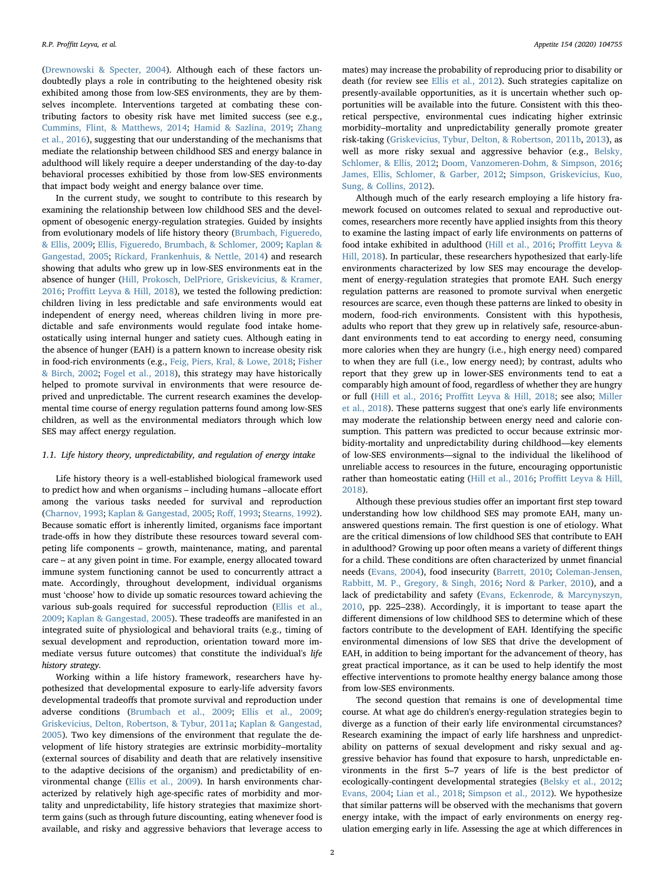([Drewnowski & Specter, 2004\)](#page-9-8). Although each of these factors undoubtedly plays a role in contributing to the heightened obesity risk exhibited among those from low-SES environments, they are by themselves incomplete. Interventions targeted at combating these contributing factors to obesity risk have met limited success (see e.g., [Cummins, Flint, & Matthews, 2014;](#page-9-9) [Hamid & Sazlina, 2019;](#page-9-10) [Zhang](#page-10-6) [et al., 2016](#page-10-6)), suggesting that our understanding of the mechanisms that mediate the relationship between childhood SES and energy balance in adulthood will likely require a deeper understanding of the day-to-day behavioral processes exhibitied by those from low-SES environments that impact body weight and energy balance over time.

In the current study, we sought to contribute to this research by examining the relationship between low childhood SES and the development of obesogenic energy-regulation strategies. Guided by insights from evolutionary models of life history theory [\(Brumbach, Figueredo,](#page-8-2) [& Ellis, 2009](#page-8-2); [Ellis, Figueredo, Brumbach, & Schlomer, 2009](#page-9-11); [Kaplan &](#page-9-12) [Gangestad, 2005](#page-9-12); [Rickard, Frankenhuis, & Nettle, 2014\)](#page-9-13) and research showing that adults who grew up in low-SES environments eat in the absence of hunger [\(Hill, Prokosch, DelPriore, Griskevicius, & Kramer,](#page-9-14) [2016;](#page-9-14) Proffi[tt Leyva & Hill, 2018\)](#page-9-15), we tested the following prediction: children living in less predictable and safe environments would eat independent of energy need, whereas children living in more predictable and safe environments would regulate food intake homeostatically using internal hunger and satiety cues. Although eating in the absence of hunger (EAH) is a pattern known to increase obesity risk in food-rich environments (e.g., [Feig, Piers, Kral, & Lowe, 2018](#page-9-16); [Fisher](#page-9-17) [& Birch, 2002;](#page-9-17) [Fogel et al., 2018](#page-9-18)), this strategy may have historically helped to promote survival in environments that were resource deprived and unpredictable. The current research examines the developmental time course of energy regulation patterns found among low-SES children, as well as the environmental mediators through which low SES may affect energy regulation.

## 1.1. Life history theory, unpredictability, and regulation of energy intake

Life history theory is a well-established biological framework used to predict how and when organisms – including humans –allocate effort among the various tasks needed for survival and reproduction ([Charnov, 1993;](#page-8-3) [Kaplan & Gangestad, 2005](#page-9-12); Roff[, 1993](#page-9-19); [Stearns, 1992](#page-10-7)). Because somatic effort is inherently limited, organisms face important trade-offs in how they distribute these resources toward several competing life components – growth, maintenance, mating, and parental care – at any given point in time. For example, energy allocated toward immune system functioning cannot be used to concurrently attract a mate. Accordingly, throughout development, individual organisms must 'choose' how to divide up somatic resources toward achieving the various sub-goals required for successful reproduction (Ellis [et al.,](#page-9-11) [2009;](#page-9-11) [Kaplan & Gangestad, 2005\)](#page-9-12). These tradeoffs are manifested in an integrated suite of physiological and behavioral traits (e.g., timing of sexual development and reproduction, orientation toward more immediate versus future outcomes) that constitute the individual's life history strategy.

Working within a life history framework, researchers have hypothesized that developmental exposure to early-life adversity favors developmental tradeoffs that promote survival and reproduction under adverse conditions [\(Brumbach et al., 2009;](#page-8-2) [Ellis et al., 2009](#page-9-11); [Griskevicius, Delton, Robertson, & Tybur, 2011a;](#page-9-20) [Kaplan & Gangestad,](#page-9-12) [2005\)](#page-9-12). Two key dimensions of the environment that regulate the development of life history strategies are extrinsic morbidity–mortality (external sources of disability and death that are relatively insensitive to the adaptive decisions of the organism) and predictability of environmental change ([Ellis et al., 2009\)](#page-9-11). In harsh environments characterized by relatively high age-specific rates of morbidity and mortality and unpredictability, life history strategies that maximize shortterm gains (such as through future discounting, eating whenever food is available, and risky and aggressive behaviors that leverage access to

mates) may increase the probability of reproducing prior to disability or death (for review see [Ellis et al., 2012\)](#page-9-21). Such strategies capitalize on presently-available opportunities, as it is uncertain whether such opportunities will be available into the future. Consistent with this theoretical perspective, environmental cues indicating higher extrinsic morbidity–mortality and unpredictability generally promote greater risk-taking ([Griskevicius, Tybur, Delton, & Robertson, 2011b,](#page-9-22) [2013\)](#page-9-23), as well as more risky sexual and aggressive behavior (e.g., [Belsky,](#page-8-4) [Schlomer, & Ellis, 2012;](#page-8-4) [Doom, Vanzomeren-Dohm, & Simpson, 2016](#page-9-24); [James, Ellis, Schlomer, & Garber, 2012](#page-9-25); [Simpson, Griskevicius, Kuo,](#page-10-8) [Sung, & Collins, 2012](#page-10-8)).

Although much of the early research employing a life history framework focused on outcomes related to sexual and reproductive outcomes, researchers more recently have applied insights from this theory to examine the lasting impact of early life environments on patterns of food intake exhibited in adulthood ([Hill et al., 2016](#page-9-14); Proffi[tt Leyva &](#page-9-15) [Hill, 2018](#page-9-15)). In particular, these researchers hypothesized that early-life environments characterized by low SES may encourage the development of energy-regulation strategies that promote EAH. Such energy regulation patterns are reasoned to promote survival when energetic resources are scarce, even though these patterns are linked to obesity in modern, food-rich environments. Consistent with this hypothesis, adults who report that they grew up in relatively safe, resource-abundant environments tend to eat according to energy need, consuming more calories when they are hungry (i.e., high energy need) compared to when they are full (i.e., low energy need); by contrast, adults who report that they grew up in lower-SES environments tend to eat a comparably high amount of food, regardless of whether they are hungry or full ([Hill et al., 2016;](#page-9-14) Proffi[tt Leyva & Hill, 2018](#page-9-15); see also; [Miller](#page-9-26) [et al., 2018](#page-9-26)). These patterns suggest that one's early life environments may moderate the relationship between energy need and calorie consumption. This pattern was predicted to occur because extrinsic morbidity-mortality and unpredictability during childhood—key elements of low-SES environments—signal to the individual the likelihood of unreliable access to resources in the future, encouraging opportunistic rather than homeostatic eating ([Hill et al., 2016](#page-9-14); Proffi[tt Leyva & Hill,](#page-9-15) [2018\)](#page-9-15).

Although these previous studies offer an important first step toward understanding how low childhood SES may promote EAH, many unanswered questions remain. The first question is one of etiology. What are the critical dimensions of low childhood SES that contribute to EAH in adulthood? Growing up poor often means a variety of different things for a child. These conditions are often characterized by unmet financial needs ([Evans, 2004\)](#page-9-27), food insecurity ([Barrett, 2010;](#page-8-5) [Coleman-Jensen,](#page-8-6) [Rabbitt, M. P., Gregory, & Singh, 2016;](#page-8-6) [Nord & Parker, 2010](#page-9-28)), and a lack of predictability and safety [\(Evans, Eckenrode, & Marcynyszyn,](#page-9-29) [2010,](#page-9-29) pp. 225–238). Accordingly, it is important to tease apart the different dimensions of low childhood SES to determine which of these factors contribute to the development of EAH. Identifying the specific environmental dimensions of low SES that drive the development of EAH, in addition to being important for the advancement of theory, has great practical importance, as it can be used to help identify the most effective interventions to promote healthy energy balance among those from low-SES environments.

The second question that remains is one of developmental time course. At what age do children's energy-regulation strategies begin to diverge as a function of their early life environmental circumstances? Research examining the impact of early life harshness and unpredictability on patterns of sexual development and risky sexual and aggressive behavior has found that exposure to harsh, unpredictable environments in the first 5–7 years of life is the best predictor of ecologically-contingent developmental strategies [\(Belsky et al., 2012](#page-8-4); [Evans, 2004](#page-9-27); [Lian et al., 2018;](#page-9-30) [Simpson et al., 2012](#page-10-8)). We hypothesize that similar patterns will be observed with the mechanisms that govern energy intake, with the impact of early environments on energy regulation emerging early in life. Assessing the age at which differences in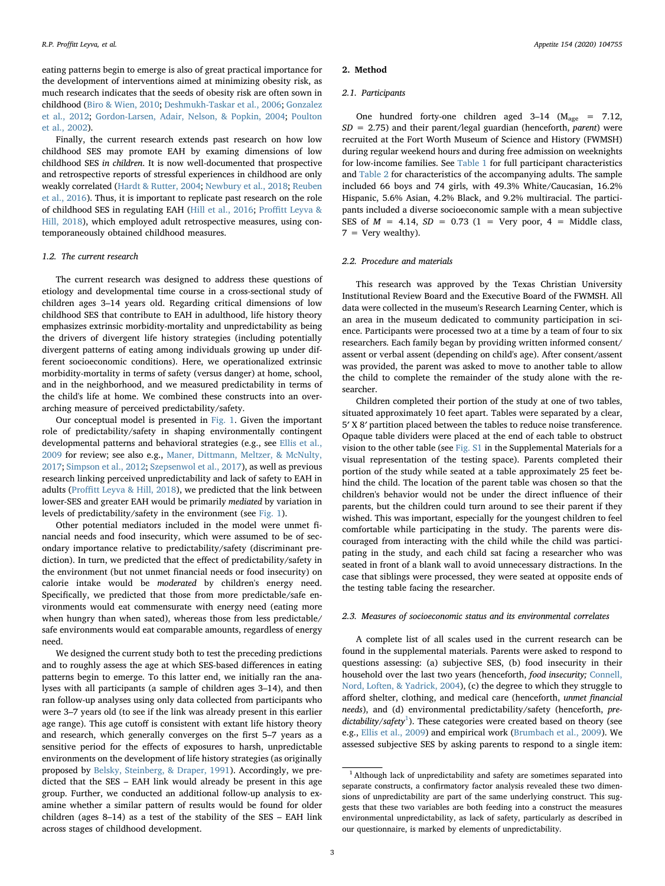eating patterns begin to emerge is also of great practical importance for the development of interventions aimed at minimizing obesity risk, as much research indicates that the seeds of obesity risk are often sown in childhood ([Biro & Wien, 2010;](#page-8-7) [Deshmukh-Taskar et al., 2006](#page-9-31); [Gonzalez](#page-9-32) [et al., 2012;](#page-9-32) [Gordon-Larsen, Adair, Nelson, & Popkin, 2004;](#page-9-33) [Poulton](#page-9-34) [et al., 2002](#page-9-34)).

Finally, the current research extends past research on how low childhood SES may promote EAH by examing dimensions of low childhood SES in children. It is now well-documented that prospective and retrospective reports of stressful experiences in childhood are only weakly correlated ([Hardt & Rutter, 2004;](#page-9-35) [Newbury et al., 2018;](#page-9-36) [Reuben](#page-9-37) [et al., 2016\)](#page-9-37). Thus, it is important to replicate past research on the role of childhood SES in regulating EAH ([Hill et al., 2016](#page-9-14); Proffi[tt Leyva &](#page-9-15) [Hill, 2018\)](#page-9-15), which employed adult retrospective measures, using contemporaneously obtained childhood measures.

## 1.2. The current research

The current research was designed to address these questions of etiology and developmental time course in a cross-sectional study of children ages 3–14 years old. Regarding critical dimensions of low childhood SES that contribute to EAH in adulthood, life history theory emphasizes extrinsic morbidity-mortality and unpredictability as being the drivers of divergent life history strategies (including potentially divergent patterns of eating among individuals growing up under different socioeconomic conditions). Here, we operationalized extrinsic morbidity-mortality in terms of safety (versus danger) at home, school, and in the neighborhood, and we measured predictability in terms of the child's life at home. We combined these constructs into an overarching measure of perceived predictability/safety.

Our conceptual model is presented in [Fig. 1](#page-3-0). Given the important role of predictability/safety in shaping environmentally contingent developmental patterns and behavioral strategies (e.g., see [Ellis et al.,](#page-9-11) [2009](#page-9-11) for review; see also e.g., [Maner, Dittmann, Meltzer, & McNulty,](#page-9-38) [2017;](#page-9-38) [Simpson et al., 2012;](#page-10-8) [Szepsenwol et al., 2017](#page-10-9)), as well as previous research linking perceived unpredictability and lack of safety to EAH in adults (Proffi[tt Leyva & Hill, 2018\)](#page-9-15), we predicted that the link between lower-SES and greater EAH would be primarily mediated by variation in levels of predictability/safety in the environment (see [Fig. 1](#page-3-0)).

Other potential mediators included in the model were unmet financial needs and food insecurity, which were assumed to be of secondary importance relative to predictability/safety (discriminant prediction). In turn, we predicted that the effect of predictability/safety in the environment (but not unmet financial needs or food insecurity) on calorie intake would be moderated by children's energy need. Specifically, we predicted that those from more predictable/safe environments would eat commensurate with energy need (eating more when hungry than when sated), whereas those from less predictable/ safe environments would eat comparable amounts, regardless of energy need.

We designed the current study both to test the preceding predictions and to roughly assess the age at which SES-based differences in eating patterns begin to emerge. To this latter end, we initially ran the analyses with all participants (a sample of children ages 3–14), and then ran follow-up analyses using only data collected from participants who were 3–7 years old (to see if the link was already present in this earlier age range). This age cutoff is consistent with extant life history theory and research, which generally converges on the first 5–7 years as a sensitive period for the effects of exposures to harsh, unpredictable environments on the development of life history strategies (as originally proposed by [Belsky, Steinberg, & Draper, 1991](#page-8-8)). Accordingly, we predicted that the SES – EAH link would already be present in this age group. Further, we conducted an additional follow-up analysis to examine whether a similar pattern of results would be found for older children (ages 8–14) as a test of the stability of the SES – EAH link across stages of childhood development.

### 2. Method

#### 2.1. Participants

One hundred forty-one children aged  $3-14$  ( $M_{\text{age}}$  = 7.12,  $SD = 2.75$ ) and their parent/legal guardian (henceforth, parent) were recruited at the Fort Worth Museum of Science and History (FWMSH) during regular weekend hours and during free admission on weeknights for low-income families. See [Table 1](#page-3-1) for full participant characteristics and [Table 2](#page-3-2) for characteristics of the accompanying adults. The sample included 66 boys and 74 girls, with 49.3% White/Caucasian, 16.2% Hispanic, 5.6% Asian, 4.2% Black, and 9.2% multiracial. The participants included a diverse socioeconomic sample with a mean subjective SES of  $M = 4.14$ ,  $SD = 0.73$  (1 = Very poor, 4 = Middle class,  $7 = \text{Very}$  wealthy).

## 2.2. Procedure and materials

This research was approved by the Texas Christian University Institutional Review Board and the Executive Board of the FWMSH. All data were collected in the museum's Research Learning Center, which is an area in the museum dedicated to community participation in science. Participants were processed two at a time by a team of four to six researchers. Each family began by providing written informed consent/ assent or verbal assent (depending on child's age). After consent/assent was provided, the parent was asked to move to another table to allow the child to complete the remainder of the study alone with the researcher.

Children completed their portion of the study at one of two tables, situated approximately 10 feet apart. Tables were separated by a clear, 5′ X 8′ partition placed between the tables to reduce noise transference. Opaque table dividers were placed at the end of each table to obstruct vision to the other table (see Fig. S1 in the Supplemental Materials for a visual representation of the testing space). Parents completed their portion of the study while seated at a table approximately 25 feet behind the child. The location of the parent table was chosen so that the children's behavior would not be under the direct influence of their parents, but the children could turn around to see their parent if they wished. This was important, especially for the youngest children to feel comfortable while participating in the study. The parents were discouraged from interacting with the child while the child was participating in the study, and each child sat facing a researcher who was seated in front of a blank wall to avoid unnecessary distractions. In the case that siblings were processed, they were seated at opposite ends of the testing table facing the researcher.

### 2.3. Measures of socioeconomic status and its environmental correlates

A complete list of all scales used in the current research can be found in the supplemental materials. Parents were asked to respond to questions assessing: (a) subjective SES, (b) food insecurity in their household over the last two years (henceforth, food insecurity; [Connell,](#page-9-39) [Nord, Loften, & Yadrick, 2004](#page-9-39)), (c) the degree to which they struggle to afford shelter, clothing, and medical care (henceforth, unmet financial needs), and (d) environmental predictability/safety (henceforth, pre-dictability/safety<sup>[1](#page-2-0)</sup>). These categories were created based on theory (see e.g., [Ellis et al., 2009\)](#page-9-11) and empirical work [\(Brumbach et al., 2009\)](#page-8-2). We assessed subjective SES by asking parents to respond to a single item:

<span id="page-2-0"></span><sup>&</sup>lt;sup>1</sup> Although lack of unpredictability and safety are sometimes separated into separate constructs, a confirmatory factor analysis revealed these two dimensions of unpredictability are part of the same underlying construct. This suggests that these two variables are both feeding into a construct the measures environmental unpredictability, as lack of safety, particularly as described in our questionnaire, is marked by elements of unpredictability.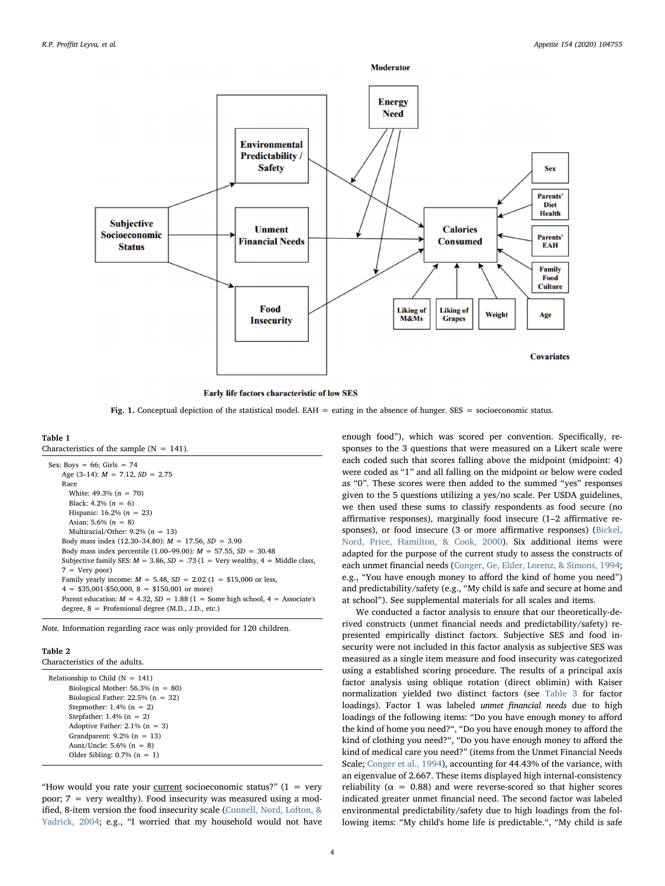### **Moderator**

<span id="page-3-0"></span>

**Early life factors characteristic of low SES** 

Fig. 1. Conceptual depiction of the statistical model. EAH = eating in the absence of hunger. SES = socioeconomic status.

## <span id="page-3-1"></span>Table 1

```
Characteristics of the sample (N = 141).
```
Sex: Boys = 66; Girls = 74 Age (3-14):  $M = 7.12$ ,  $SD = 2.75$ Race White:  $49.3\% (n = 70)$ Black:  $4.2\%$   $(n = 6)$ Hispanic:  $16.2\% (n = 23)$ Asian:  $5.6\% (n = 8)$ Multiracial/Other:  $9.2\%$  ( $n = 13$ ) Body mass index  $(12.30-34.80)$ :  $M = 17.56$ ,  $SD = 3.90$ Body mass index percentile (1.00-99.00):  $M = 57.55$ ,  $SD = 30.48$ Subjective family SES:  $M = 3.86$ ,  $SD = .73$  (1 = Very wealthy, 4 = Middle class, 7 = Very poor) Family yearly income:  $M = 5.48$ ,  $SD = 2.02$  (1 = \$15,000 or less,  $4 = $35,001 - $50,000, 8 = $150,001$  or more) Parent education:  $M = 4.32$ ,  $SD = 1.88$  (1 = Some high school, 4 = Associate's degree, 8 = Professional degree (M.D., J.D., etc.)

Note. Information regarding race was only provided for 120 children.

## <span id="page-3-2"></span>Table 2

Characteristics of the adults.

Relationship to Child ( $N = 141$ ) Biological Mother:  $56.3\%$  (n = 80) Biological Father: 22.5% ( $n = 32$ ) Stepmother:  $1.4\%$  (n = 2) Stepfather: 1.4% (n = 2) Adoptive Father:  $2.1\%$  (n = 3) Grandparent:  $9.2\%$  (n = 13) Aunt/Uncle:  $5.6\%$  (n = 8) Older Sibling: 0.7% (n = 1)

"How would you rate your current socioeconomic status?"  $(1 = \text{very}$ poor;  $7 =$  very wealthy). Food insecurity was measured using a modified, 8-item version the food insecurity scale [\(Connell, Nord, Lofton, &](#page-9-39) [Yadrick, 2004;](#page-9-39) e.g., "I worried that my household would not have enough food"), which was scored per convention. Specifically, responses to the 3 questions that were measured on a Likert scale were each coded such that scores falling above the midpoint (midpoint: 4) were coded as "1" and all falling on the midpoint or below were coded as "0". These scores were then added to the summed "yes" responses given to the 5 questions utilizing a yes/no scale. Per USDA guidelines, we then used these sums to classify respondents as food secure (no affirmative responses), marginally food insecure (1–2 affirmative responses), or food insecure (3 or more affirmative responses) ([Bickel,](#page-8-9) [Nord, Price, Hamilton, & Cook, 2000](#page-8-9)). Six additional items were adapted for the purpose of the current study to assess the constructs of each unmet financial needs ([Conger, Ge, Elder, Lorenz, & Simons, 1994](#page-9-40); e.g., "You have enough money to afford the kind of home you need") and predictability/safety (e.g., "My child is safe and secure at home and at school"). See supplemental materials for all scales and items.

We conducted a factor analysis to ensure that our theoretically-derived constructs (unmet financial needs and predictability/safety) represented empirically distinct factors. Subjective SES and food insecurity were not included in this factor analysis as subjective SES was measured as a single item measure and food insecurity was categorized using a established scoring procedure. The results of a principal axis factor analysis using oblique rotation (direct oblimin) with Kaiser normalization yielded two distinct factors (see [Table 3](#page-4-0) for factor loadings). Factor 1 was labeled unmet financial needs due to high loadings of the following items: "Do you have enough money to afford the kind of home you need?", "Do you have enough money to afford the kind of clothing you need?", "Do you have enough money to afford the kind of medical care you need?" (items from the Unmet Financial Needs Scale; [Conger et al., 1994\)](#page-9-40), accounting for 44.43% of the variance, with an eigenvalue of 2.667. These items displayed high internal-consistency reliability ( $\alpha = 0.88$ ) and were reverse-scored so that higher scores indicated greater unmet financial need. The second factor was labeled environmental predictability/safety due to high loadings from the following items: "My child's home life is predictable.", "My child is safe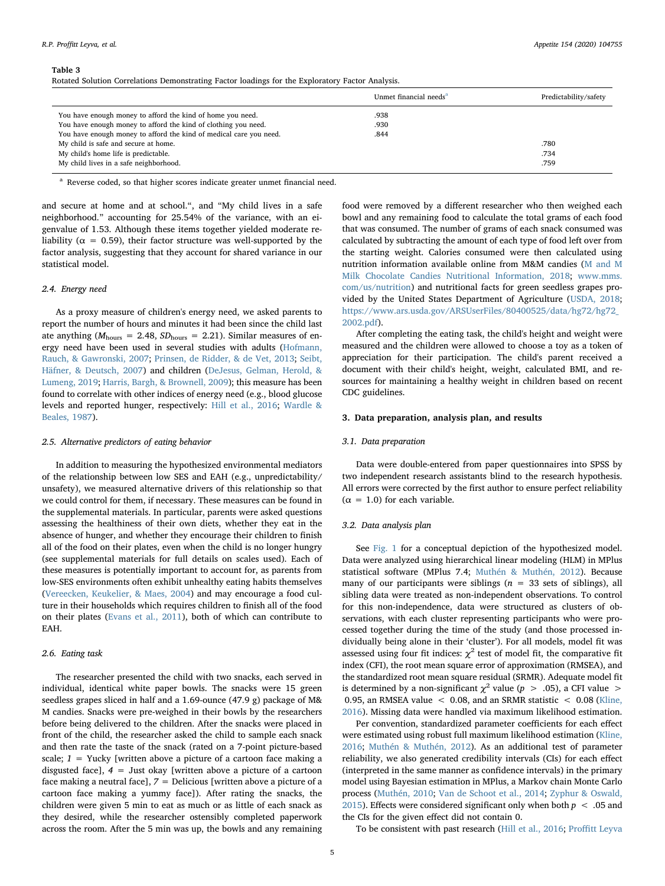#### <span id="page-4-0"></span>Table 3

Rotated Solution Correlations Demonstrating Factor loadings for the Exploratory Factor Analysis.

|                                                                    | Unmet financial needs <sup>a</sup> | Predictability/safety |
|--------------------------------------------------------------------|------------------------------------|-----------------------|
| You have enough money to afford the kind of home you need.         | .938                               |                       |
| You have enough money to afford the kind of clothing you need.     | .930                               |                       |
| You have enough money to afford the kind of medical care you need. | .844                               |                       |
| My child is safe and secure at home.                               |                                    | .780                  |
| My child's home life is predictable.                               |                                    | .734                  |
| My child lives in a safe neighborhood.                             |                                    | .759                  |

<span id="page-4-1"></span><sup>a</sup> Reverse coded, so that higher scores indicate greater unmet financial need.

and secure at home and at school.", and "My child lives in a safe neighborhood." accounting for 25.54% of the variance, with an eigenvalue of 1.53. Although these items together yielded moderate reliability ( $\alpha = 0.59$ ), their factor structure was well-supported by the factor analysis, suggesting that they account for shared variance in our statistical model.

## 2.4. Energy need

As a proxy measure of children's energy need, we asked parents to report the number of hours and minutes it had been since the child last ate anything ( $M_{\text{hours}} = 2.48$ ,  $SD_{\text{hours}} = 2.21$ ). Similar measures of energy need have been used in several studies with adults ([Hofmann,](#page-9-41) [Rauch, & Gawronski, 2007;](#page-9-41) [Prinsen, de Ridder, & de Vet, 2013;](#page-9-42) [Seibt,](#page-9-43) [Häfner, & Deutsch, 2007](#page-9-43)) and children ([DeJesus, Gelman, Herold, &](#page-9-44) [Lumeng, 2019;](#page-9-44) [Harris, Bargh, & Brownell, 2009\)](#page-9-45); this measure has been found to correlate with other indices of energy need (e.g., blood glucose levels and reported hunger, respectively: [Hill et al., 2016;](#page-9-14) [Wardle &](#page-10-10) [Beales, 1987\)](#page-10-10).

#### 2.5. Alternative predictors of eating behavior

In addition to measuring the hypothesized environmental mediators of the relationship between low SES and EAH (e.g., unpredictability/ unsafety), we measured alternative drivers of this relationship so that we could control for them, if necessary. These measures can be found in the supplemental materials. In particular, parents were asked questions assessing the healthiness of their own diets, whether they eat in the absence of hunger, and whether they encourage their children to finish all of the food on their plates, even when the child is no longer hungry (see supplemental materials for full details on scales used). Each of these measures is potentially important to account for, as parents from low-SES environments often exhibit unhealthy eating habits themselves ([Vereecken, Keukelier, & Maes, 2004\)](#page-10-11) and may encourage a food culture in their households which requires children to finish all of the food on their plates ([Evans et al., 2011](#page-9-46)), both of which can contribute to EAH.

### 2.6. Eating task

The researcher presented the child with two snacks, each served in individual, identical white paper bowls. The snacks were 15 green seedless grapes sliced in half and a 1.69-ounce (47.9 g) package of M& M candies. Snacks were pre-weighed in their bowls by the researchers before being delivered to the children. After the snacks were placed in front of the child, the researcher asked the child to sample each snack and then rate the taste of the snack (rated on a 7-point picture-based scale;  $1 =$  Yucky [written above a picture of a cartoon face making a disgusted face],  $4 =$  Just okay [written above a picture of a cartoon face making a neutral face],  $7 =$  Delicious [written above a picture of a cartoon face making a yummy face]). After rating the snacks, the children were given 5 min to eat as much or as little of each snack as they desired, while the researcher ostensibly completed paperwork across the room. After the 5 min was up, the bowls and any remaining

food were removed by a different researcher who then weighed each bowl and any remaining food to calculate the total grams of each food that was consumed. The number of grams of each snack consumed was calculated by subtracting the amount of each type of food left over from the starting weight. Calories consumed were then calculated using nutrition information available online from M&M candies ([M and M](#page-9-47) [Milk Chocolate Candies Nutritional Information, 2018;](#page-9-47) [www.mms.](http://www.mms.com/us/nutrition) [com/us/nutrition](http://www.mms.com/us/nutrition)) and nutritional facts for green seedless grapes provided by the United States Department of Agriculture ([USDA, 2018](#page-10-12); [https://www.ars.usda.gov/ARSUserFiles/80400525/data/hg72/hg72\\_](https://www.ars.usda.gov/ARSUserFiles/80400525/data/hg72/hg72_2002.pdf) [2002.pdf](https://www.ars.usda.gov/ARSUserFiles/80400525/data/hg72/hg72_2002.pdf)).

After completing the eating task, the child's height and weight were measured and the children were allowed to choose a toy as a token of appreciation for their participation. The child's parent received a document with their child's height, weight, calculated BMI, and resources for maintaining a healthy weight in children based on recent CDC guidelines.

#### 3. Data preparation, analysis plan, and results

#### 3.1. Data preparation

Data were double-entered from paper questionnaires into SPSS by two independent research assistants blind to the research hypothesis. All errors were corrected by the first author to ensure perfect reliability  $(\alpha = 1.0)$  for each variable.

### 3.2. Data analysis plan

See [Fig.](#page-3-0) 1 for a conceptual depiction of the hypothesized model. Data were analyzed using hierarchical linear modeling (HLM) in MPlus statistical software (MPlus 7.4; [Muthén & Muthén, 2012\)](#page-9-48). Because many of our participants were siblings ( $n = 33$  sets of siblings), all sibling data were treated as non-independent observations. To control for this non-independence, data were structured as clusters of observations, with each cluster representing participants who were processed together during the time of the study (and those processed individually being alone in their 'cluster'). For all models, model fit was assessed using four fit indices:  $\chi^2$  test of model fit, the comparative fit index (CFI), the root mean square error of approximation (RMSEA), and the standardized root mean square residual (SRMR). Adequate model fit is determined by a non-significant  $\chi^2$  value (p > .05), a CFI value > 0.95, an RMSEA value < 0.08, and an SRMR statistic < 0.08 [\(Kline,](#page-9-49) [2016\)](#page-9-49). Missing data were handled via maximum likelihood estimation.

Per convention, standardized parameter coefficients for each effect were estimated using robust full maximum likelihood estimation [\(Kline,](#page-9-49) [2016;](#page-9-49) [Muthén & Muthén, 2012\)](#page-9-48). As an additional test of parameter reliability, we also generated credibility intervals (CIs) for each effect (interpreted in the same manner as confidence intervals) in the primary model using Bayesian estimation in MPlus, a Markov chain Monte Carlo process [\(Muthén, 2010](#page-9-50); [Van de Schoot et al., 2014;](#page-10-13) [Zyphur & Oswald,](#page-10-14) [2015\)](#page-10-14). Effects were considered significant only when both  $p < .05$  and the CIs for the given effect did not contain 0.

To be consistent with past research [\(Hill et al., 2016;](#page-9-14) Proffi[tt Leyva](#page-9-15)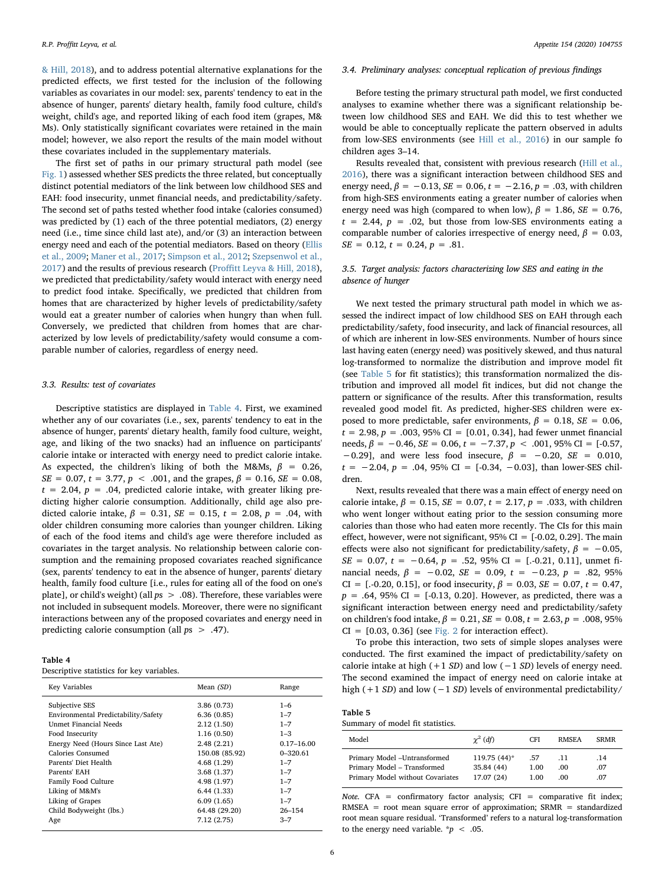[& Hill, 2018](#page-9-15)), and to address potential alternative explanations for the predicted effects, we first tested for the inclusion of the following variables as covariates in our model: sex, parents' tendency to eat in the absence of hunger, parents' dietary health, family food culture, child's weight, child's age, and reported liking of each food item (grapes, M& Ms). Only statistically significant covariates were retained in the main model; however, we also report the results of the main model without these covariates included in the supplementary materials.

The first set of paths in our primary structural path model (see [Fig. 1](#page-3-0)) assessed whether SES predicts the three related, but conceptually distinct potential mediators of the link between low childhood SES and EAH: food insecurity, unmet financial needs, and predictability/safety. The second set of paths tested whether food intake (calories consumed) was predicted by (1) each of the three potential mediators, (2) energy need (i.e., time since child last ate), and/or (3) an interaction between energy need and each of the potential mediators. Based on theory ([Ellis](#page-9-11) [et al., 2009](#page-9-11); [Maner et al., 2017;](#page-9-38) [Simpson et al., 2012;](#page-10-8) [Szepsenwol et al.,](#page-10-9) [2017\)](#page-10-9) and the results of previous research (Proffi[tt Leyva & Hill, 2018](#page-9-15)), we predicted that predictability/safety would interact with energy need to predict food intake. Specifically, we predicted that children from homes that are characterized by higher levels of predictability/safety would eat a greater number of calories when hungry than when full. Conversely, we predicted that children from homes that are characterized by low levels of predictability/safety would consume a comparable number of calories, regardless of energy need.

#### 3.3. Results: test of covariates

Descriptive statistics are displayed in [Table 4.](#page-5-0) First, we examined whether any of our covariates (i.e., sex, parents' tendency to eat in the absence of hunger, parents' dietary health, family food culture, weight, age, and liking of the two snacks) had an influence on participants' calorie intake or interacted with energy need to predict calorie intake. As expected, the children's liking of both the M&Ms,  $\beta = 0.26$ ,  $SE = 0.07$ ,  $t = 3.77$ ,  $p < .001$ , and the grapes,  $\beta = 0.16$ ,  $SE = 0.08$ ,  $t = 2.04$ ,  $p = .04$ , predicted calorie intake, with greater liking predicting higher calorie consumption. Additionally, child age also predicted calorie intake,  $\beta = 0.31$ ,  $SE = 0.15$ ,  $t = 2.08$ ,  $p = .04$ , with older children consuming more calories than younger children. Liking of each of the food items and child's age were therefore included as covariates in the target analysis. No relationship between calorie consumption and the remaining proposed covariates reached significance (sex, parents' tendency to eat in the absence of hunger, parents' dietary health, family food culture [i.e., rules for eating all of the food on one's plate], or child's weight) (all  $ps > .08$ ). Therefore, these variables were not included in subsequent models. Moreover, there were no significant interactions between any of the proposed covariates and energy need in predicting calorie consumption (all ps > .47).

#### <span id="page-5-0"></span>Table 4

Descriptive statistics for key variables.

| Key Variables                       | Mean $(SD)$    | Range          |
|-------------------------------------|----------------|----------------|
| Subjective SES                      | 3.86 (0.73)    | $1 - 6$        |
| Environmental Predictability/Safety | 6.36(0.85)     | $1 - 7$        |
| Unmet Financial Needs               | 2.12(1.50)     | $1 - 7$        |
| Food Insecurity                     | 1.16(0.50)     | $1 - 3$        |
| Energy Need (Hours Since Last Ate)  | 2.48(2.21)     | $0.17 - 16.00$ |
| Calories Consumed                   | 150.08 (85.92) | $0 - 320.61$   |
| Parents' Diet Health                | 4.68(1.29)     | $1 - 7$        |
| Parents' EAH                        | 3.68(1.37)     | $1 - 7$        |
| Family Food Culture                 | 4.98 (1.97)    | $1 - 7$        |
| Liking of M&M's                     | 6.44(1.33)     | $1 - 7$        |
| Liking of Grapes                    | 6.09(1.65)     | $1 - 7$        |
| Child Bodyweight (lbs.)             | 64.48 (29.20)  | $26 - 154$     |
| Age                                 | 7.12 (2.75)    | $3 - 7$        |

#### 3.4. Preliminary analyses: conceptual replication of previous findings

Before testing the primary structural path model, we first conducted analyses to examine whether there was a significant relationship between low childhood SES and EAH. We did this to test whether we would be able to conceptually replicate the pattern observed in adults from low-SES environments (see [Hill et al., 2016\)](#page-9-14) in our sample fo children ages 3–14.

Results revealed that, consistent with previous research [\(Hill et al.,](#page-9-14) [2016\)](#page-9-14), there was a significant interaction between childhood SES and energy need,  $\beta = -0.13$ ,  $SE = 0.06$ ,  $t = -2.16$ ,  $p = .03$ , with children from high-SES environments eating a greater number of calories when energy need was high (compared to when low),  $\beta = 1.86$ ,  $SE = 0.76$ ,  $t = 2.44$ ,  $p = .02$ , but those from low-SES environments eating a comparable number of calories irrespective of energy need,  $\beta = 0.03$ ,  $SE = 0.12, t = 0.24, p = .81.$ 

## 3.5. Target analysis: factors characterizing low SES and eating in the absence of hunger

We next tested the primary structural path model in which we assessed the indirect impact of low childhood SES on EAH through each predictability/safety, food insecurity, and lack of financial resources, all of which are inherent in low-SES environments. Number of hours since last having eaten (energy need) was positively skewed, and thus natural log-transformed to normalize the distribution and improve model fit (see [Table 5](#page-5-1) for fit statistics); this transformation normalized the distribution and improved all model fit indices, but did not change the pattern or significance of the results. After this transformation, results revealed good model fit. As predicted, higher-SES children were exposed to more predictable, safer environments,  $\beta = 0.18$ ,  $SE = 0.06$ ,  $t = 2.98, p = .003, 95\% \text{ CI} = [0.01, 0.34], \text{had fewer unmet financial}$ needs,  $\beta = -0.46$ ,  $SE = 0.06$ ,  $t = -7.37$ ,  $p < .001$ , 95% CI = [-0.57,  $-0.29$ ], and were less food insecure,  $\beta$  =  $-0.20$ , SE = 0.010,  $t = -2.04$ ,  $p = .04$ , 95% CI = [-0.34, -0.03], than lower-SES children.

Next, results revealed that there was a main effect of energy need on calorie intake,  $β = 0.15$ ,  $SE = 0.07$ ,  $t = 2.17$ ,  $p = .033$ , with children who went longer without eating prior to the session consuming more calories than those who had eaten more recently. The CIs for this main effect, however, were not significant,  $95\%$  CI = [-0.02, 0.29]. The main effects were also not significant for predictability/safety,  $\beta = -0.05$ ,  $SE = 0.07$ ,  $t = -0.64$ ,  $p = .52$ , 95% CI = [.-0.21, 0.11], unmet financial needs,  $\beta = -0.02$ ,  $SE = 0.09$ ,  $t = -0.23$ ,  $p = .82$ , 95% CI = [.-0.20, 0.15], or food insecurity,  $\beta = 0.03$ ,  $SE = 0.07$ ,  $t = 0.47$ ,  $p = .64, 95\% \text{ CI} = [-0.13, 0.20].$  However, as predicted, there was a significant interaction between energy need and predictability/safety on children's food intake,  $β = 0.21$ ,  $SE = 0.08$ ,  $t = 2.63$ ,  $p = .008$ , 95%  $CI = [0.03, 0.36]$  (see [Fig. 2](#page-6-0) for interaction effect).

To probe this interaction, two sets of simple slopes analyses were conducted. The first examined the impact of predictability/safety on calorie intake at high  $(+1 SD)$  and low  $(-1 SD)$  levels of energy need. The second examined the impact of energy need on calorie intake at high (+1 SD) and low (−1 SD) levels of environmental predictability/

<span id="page-5-1"></span>

| Table 5 |                                  |
|---------|----------------------------------|
|         | Summary of model fit statistics. |

| Model                            | $\chi^2$ (df)  | <b>CFI</b> | <b>RMSEA</b> | <b>SRMR</b> |
|----------------------------------|----------------|------------|--------------|-------------|
| Primary Model -Untransformed     | $119.75(44)$ * | .57        | -11          | .14         |
| Primary Model - Transformed      | 35.84 (44)     | 1.00       | .00          | .07         |
| Primary Model without Covariates | 17.07 (24)     | 1.00       | .00          | .07         |

Note. CFA = confirmatory factor analysis; CFI = comparative fit index; RMSEA = root mean square error of approximation; SRMR = standardized root mean square residual. 'Transformed' refers to a natural log-transformation to the energy need variable. \* $p < .05$ .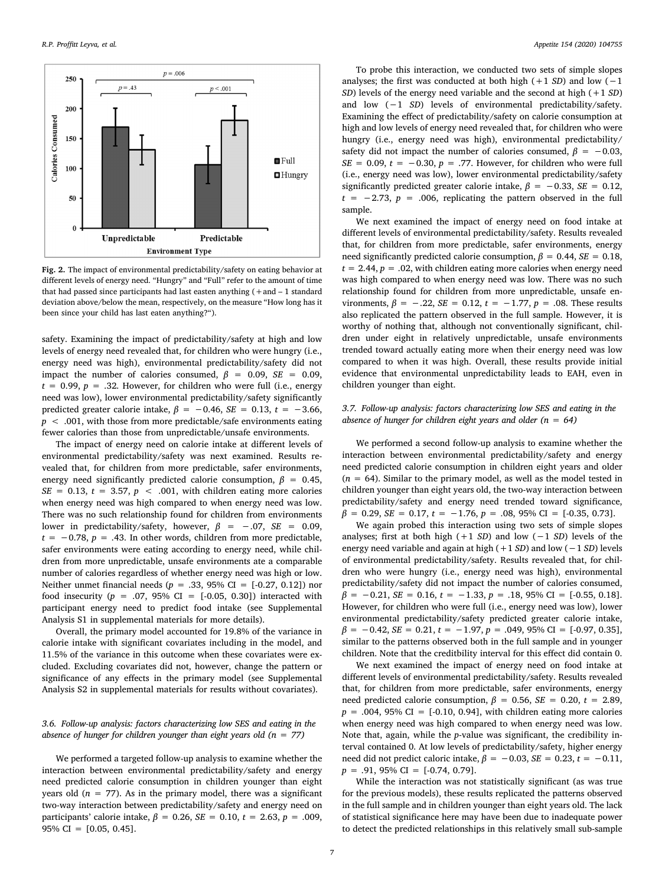<span id="page-6-0"></span>

Fig. 2. The impact of environmental predictability/safety on eating behavior at different levels of energy need. "Hungry" and "Full" refer to the amount of time that had passed since participants had last easten anything  $($  + and  $-$  1 standard deviation above/below the mean, respectively, on the measure "How long has it been since your child has last eaten anything?").

safety. Examining the impact of predictability/safety at high and low levels of energy need revealed that, for children who were hungry (i.e., energy need was high), environmental predictability/safety did not impact the number of calories consumed,  $\beta = 0.09$ ,  $SE = 0.09$ ,  $t = 0.99$ ,  $p = .32$ . However, for children who were full (i.e., energy need was low), lower environmental predictability/safety significantly predicted greater calorie intake,  $\beta = -0.46$ ,  $SE = 0.13$ ,  $t = -3.66$ ,  $p < .001$ , with those from more predictable/safe environments eating fewer calories than those from unpredictable/unsafe environments.

The impact of energy need on calorie intake at different levels of environmental predictability/safety was next examined. Results revealed that, for children from more predictable, safer environments, energy need significantly predicted calorie consumption,  $\beta = 0.45$ ,  $SE = 0.13$ ,  $t = 3.57$ ,  $p < .001$ , with children eating more calories when energy need was high compared to when energy need was low. There was no such relationship found for children from environments lower in predictability/safety, however,  $\beta$  = -.07, SE = 0.09,  $t = -0.78$ ,  $p = .43$ . In other words, children from more predictable, safer environments were eating according to energy need, while children from more unpredictable, unsafe environments ate a comparable number of calories regardless of whether energy need was high or low. Neither unmet financial needs ( $p = .33,95\%$  CI = [-0.27, 0.12]) nor food insecurity ( $p = .07, 95\%$  CI = [-0.05, 0.30]) interacted with participant energy need to predict food intake (see Supplemental Analysis S1 in supplemental materials for more details).

Overall, the primary model accounted for 19.8% of the variance in calorie intake with significant covariates including in the model, and 11.5% of the variance in this outcome when these covariates were excluded. Excluding covariates did not, however, change the pattern or significance of any effects in the primary model (see Supplemental Analysis S2 in supplemental materials for results without covariates).

## 3.6. Follow-up analysis: factors characterizing low SES and eating in the absence of hunger for children younger than eight years old  $(n = 77)$

We performed a targeted follow-up analysis to examine whether the interaction between environmental predictability/safety and energy need predicted calorie consumption in children younger than eight years old  $(n = 77)$ . As in the primary model, there was a significant two-way interaction between predictability/safety and energy need on participants' calorie intake,  $β = 0.26$ ,  $SE = 0.10$ ,  $t = 2.63$ ,  $p = .009$ , 95% CI = [0.05, 0.45].

To probe this interaction, we conducted two sets of simple slopes analyses; the first was conducted at both high  $(+1 S_D)$  and low  $(-1$  $SD$ ) levels of the energy need variable and the second at high  $(+1 SD)$ and low (−1 SD) levels of environmental predictability/safety. Examining the effect of predictability/safety on calorie consumption at high and low levels of energy need revealed that, for children who were hungry (i.e., energy need was high), environmental predictability/ safety did not impact the number of calories consumed,  $\beta = -0.03$ ,  $SE = 0.09$ ,  $t = -0.30$ ,  $p = .77$ . However, for children who were full (i.e., energy need was low), lower environmental predictability/safety significantly predicted greater calorie intake,  $\beta = -0.33$ ,  $SE = 0.12$ ,  $t = -2.73$ ,  $p = .006$ , replicating the pattern observed in the full sample.

We next examined the impact of energy need on food intake at different levels of environmental predictability/safety. Results revealed that, for children from more predictable, safer environments, energy need significantly predicted calorie consumption,  $\beta = 0.44$ ,  $SE = 0.18$ ,  $t = 2.44$ ,  $p = .02$ , with children eating more calories when energy need was high compared to when energy need was low. There was no such relationship found for children from more unpredictable, unsafe environments,  $\beta = -.22$ ,  $SE = 0.12$ ,  $t = -1.77$ ,  $p = .08$ . These results also replicated the pattern observed in the full sample. However, it is worthy of nothing that, although not conventionally significant, children under eight in relatively unpredictable, unsafe environments trended toward actually eating more when their energy need was low compared to when it was high. Overall, these results provide initial evidence that environmental unpredictability leads to EAH, even in children younger than eight.

## 3.7. Follow-up analysis: factors characterizing low SES and eating in the absence of hunger for children eight years and older ( $n = 64$ )

We performed a second follow-up analysis to examine whether the interaction between environmental predictability/safety and energy need predicted calorie consumption in children eight years and older  $(n = 64)$ . Similar to the primary model, as well as the model tested in children younger than eight years old, the two-way interaction between predictability/safety and energy need trended toward significance,  $\beta = 0.29$ ,  $SE = 0.17$ ,  $t = -1.76$ ,  $p = .08$ ,  $95\%$  CI = [-0.35, 0.73].

We again probed this interaction using two sets of simple slopes analyses; first at both high  $(+1 SD)$  and low  $(-1 SD)$  levels of the energy need variable and again at high  $(+1 SD)$  and low  $(-1 SD)$  levels of environmental predictability/safety. Results revealed that, for children who were hungry (i.e., energy need was high), environmental predictability/safety did not impact the number of calories consumed,  $\beta = -0.21$ ,  $SE = 0.16$ ,  $t = -1.33$ ,  $p = .18$ ,  $95\%$  CI = [-0.55, 0.18]. However, for children who were full (i.e., energy need was low), lower environmental predictability/safety predicted greater calorie intake,  $\beta = -0.42$ ,  $SE = 0.21$ ,  $t = -1.97$ ,  $p = .049$ ,  $95\%$  CI = [-0.97, 0.35], similar to the patterns observed both in the full sample and in younger children. Note that the creditbility interval for this effect did contain 0.

We next examined the impact of energy need on food intake at different levels of environmental predictability/safety. Results revealed that, for children from more predictable, safer environments, energy need predicted calorie consumption,  $β = 0.56$ ,  $SE = 0.20$ ,  $t = 2.89$ ,  $p = .004, 95\% \text{ CI} = [-0.10, 0.94],$  with children eating more calories when energy need was high compared to when energy need was low. Note that, again, while the p-value was significant, the credibility interval contained 0. At low levels of predictability/safety, higher energy need did not predict caloric intake,  $β = −0.03$ ,  $SE = 0.23$ ,  $t = −0.11$ ,  $p = .91, 95\% \text{ CI} = [-0.74, 0.79].$ 

While the interaction was not statistically significant (as was true for the previous models), these results replicated the patterns observed in the full sample and in children younger than eight years old. The lack of statistical significance here may have been due to inadequate power to detect the predicted relationships in this relatively small sub-sample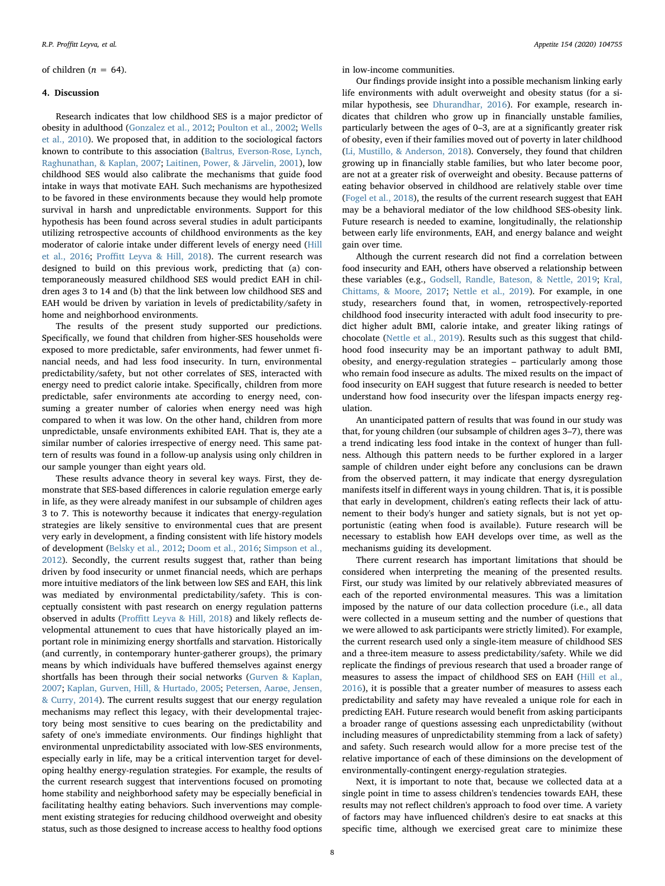of children ( $n = 64$ ).

#### 4. Discussion

Research indicates that low childhood SES is a major predictor of obesity in adulthood ([Gonzalez et al., 2012](#page-9-32); [Poulton et al., 2002;](#page-9-34) [Wells](#page-10-4) [et al., 2010\)](#page-10-4). We proposed that, in addition to the sociological factors known to contribute to this association [\(Baltrus, Everson-Rose, Lynch,](#page-8-10) [Raghunathan, & Kaplan, 2007](#page-8-10); [Laitinen, Power, & Järvelin, 2001](#page-9-51)), low childhood SES would also calibrate the mechanisms that guide food intake in ways that motivate EAH. Such mechanisms are hypothesized to be favored in these environments because they would help promote survival in harsh and unpredictable environments. Support for this hypothesis has been found across several studies in adult participants utilizing retrospective accounts of childhood environments as the key moderator of calorie intake under different levels of energy need ([Hill](#page-9-14) [et al., 2016;](#page-9-14) Proffi[tt Leyva & Hill, 2018](#page-9-15)). The current research was designed to build on this previous work, predicting that (a) contemporaneously measured childhood SES would predict EAH in children ages 3 to 14 and (b) that the link between low childhood SES and EAH would be driven by variation in levels of predictability/safety in home and neighborhood environments.

The results of the present study supported our predictions. Specifically, we found that children from higher-SES households were exposed to more predictable, safer environments, had fewer unmet financial needs, and had less food insecurity. In turn, environmental predictability/safety, but not other correlates of SES, interacted with energy need to predict calorie intake. Specifically, children from more predictable, safer environments ate according to energy need, consuming a greater number of calories when energy need was high compared to when it was low. On the other hand, children from more unpredictable, unsafe environments exhibited EAH. That is, they ate a similar number of calories irrespective of energy need. This same pattern of results was found in a follow-up analysis using only children in our sample younger than eight years old.

These results advance theory in several key ways. First, they demonstrate that SES-based differences in calorie regulation emerge early in life, as they were already manifest in our subsample of children ages 3 to 7. This is noteworthy because it indicates that energy-regulation strategies are likely sensitive to environmental cues that are present very early in development, a finding consistent with life history models of development [\(Belsky et al., 2012](#page-8-4); [Doom et al., 2016;](#page-9-24) [Simpson et al.,](#page-10-8) [2012\)](#page-10-8). Secondly, the current results suggest that, rather than being driven by food insecurity or unmet financial needs, which are perhaps more intuitive mediators of the link between low SES and EAH, this link was mediated by environmental predictability/safety. This is conceptually consistent with past research on energy regulation patterns observed in adults (Proffi[tt Leyva & Hill, 2018](#page-9-15)) and likely reflects developmental attunement to cues that have historically played an important role in minimizing energy shortfalls and starvation. Historically (and currently, in contemporary hunter-gatherer groups), the primary means by which individuals have buffered themselves against energy shortfalls has been through their social networks [\(Gurven & Kaplan,](#page-9-52) [2007;](#page-9-52) [Kaplan, Gurven, Hill, & Hurtado, 2005;](#page-9-53) [Petersen, Aarøe, Jensen,](#page-9-54) & [Curry, 2014\)](#page-9-54). The current results suggest that our energy regulation mechanisms may reflect this legacy, with their developmental trajectory being most sensitive to cues bearing on the predictability and safety of one's immediate environments. Our findings highlight that environmental unpredictability associated with low-SES environments, especially early in life, may be a critical intervention target for developing healthy energy-regulation strategies. For example, the results of the current research suggest that interventions focused on promoting home stability and neighborhood safety may be especially beneficial in facilitating healthy eating behaviors. Such inverventions may complement existing strategies for reducing childhood overweight and obesity status, such as those designed to increase access to healthy food options in low-income communities.

Our findings provide insight into a possible mechanism linking early life environments with adult overweight and obesity status (for a similar hypothesis, see [Dhurandhar, 2016](#page-9-55)). For example, research indicates that children who grow up in financially unstable families, particularly between the ages of 0–3, are at a significantly greater risk of obesity, even if their families moved out of poverty in later childhood ([Li, Mustillo, & Anderson, 2018](#page-9-56)). Conversely, they found that children growing up in financially stable families, but who later become poor, are not at a greater risk of overweight and obesity. Because patterns of eating behavior observed in childhood are relatively stable over time ([Fogel et al., 2018](#page-9-18)), the results of the current research suggest that EAH may be a behavioral mediator of the low childhood SES-obesity link. Future research is needed to examine, longitudinally, the relationship between early life environments, EAH, and energy balance and weight gain over time.

Although the current research did not find a correlation between food insecurity and EAH, others have observed a relationship between these variables (e.g., [Godsell, Randle, Bateson, & Nettle, 2019](#page-9-57); [Kral,](#page-9-58) [Chittams, & Moore, 2017;](#page-9-58) [Nettle et al., 2019](#page-9-59)). For example, in one study, researchers found that, in women, retrospectively-reported childhood food insecurity interacted with adult food insecurity to predict higher adult BMI, calorie intake, and greater liking ratings of chocolate [\(Nettle et al., 2019](#page-9-59)). Results such as this suggest that childhood food insecurity may be an important pathway to adult BMI, obesity, and energy-regulation strategies – particularly among those who remain food insecure as adults. The mixed results on the impact of food insecurity on EAH suggest that future research is needed to better understand how food insecurity over the lifespan impacts energy regulation.

An unanticipated pattern of results that was found in our study was that, for young children (our subsample of children ages 3–7), there was a trend indicating less food intake in the context of hunger than fullness. Although this pattern needs to be further explored in a larger sample of children under eight before any conclusions can be drawn from the observed pattern, it may indicate that energy dysregulation manifests itself in different ways in young children. That is, it is possible that early in development, children's eating reflects their lack of attunement to their body's hunger and satiety signals, but is not yet opportunistic (eating when food is available). Future research will be necessary to establish how EAH develops over time, as well as the mechanisms guiding its development.

There current research has important limitations that should be considered when interpreting the meaning of the presented results. First, our study was limited by our relatively abbreviated measures of each of the reported environmental measures. This was a limitation imposed by the nature of our data collection procedure (i.e., all data were collected in a museum setting and the number of questions that we were allowed to ask participants were strictly limited). For example, the current research used only a single-item measure of childhood SES and a three-item measure to assess predictability/safety. While we did replicate the findings of previous research that used a broader range of measures to assess the impact of childhood SES on EAH [\(Hill et al.,](#page-9-14) [2016\)](#page-9-14), it is possible that a greater number of measures to assess each predictability and safety may have revealed a unique role for each in predicting EAH. Future research would benefit from asking participants a broader range of questions assessing each unpredictability (without including measures of unpredictability stemming from a lack of safety) and safety. Such research would allow for a more precise test of the relative importance of each of these diminsions on the development of environmentally-contingent energy-regulation strategies.

Next, it is important to note that, because we collected data at a single point in time to assess children's tendencies towards EAH, these results may not reflect children's approach to food over time. A variety of factors may have influenced children's desire to eat snacks at this specific time, although we exercised great care to minimize these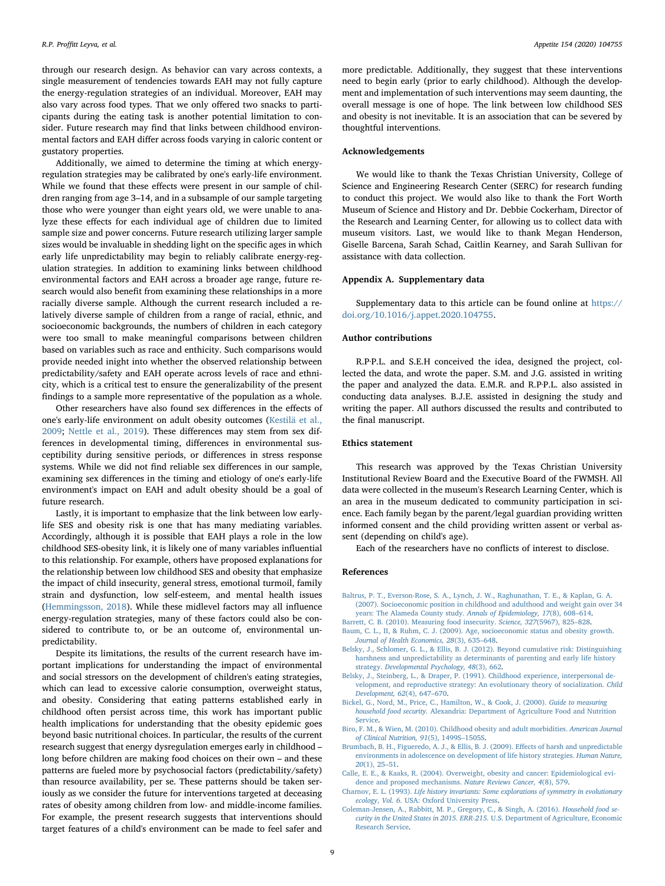through our research design. As behavior can vary across contexts, a single measurement of tendencies towards EAH may not fully capture the energy-regulation strategies of an individual. Moreover, EAH may also vary across food types. That we only offered two snacks to participants during the eating task is another potential limitation to consider. Future research may find that links between childhood environmental factors and EAH differ across foods varying in caloric content or gustatory properties.

Additionally, we aimed to determine the timing at which energyregulation strategies may be calibrated by one's early-life environment. While we found that these effects were present in our sample of children ranging from age 3–14, and in a subsample of our sample targeting those who were younger than eight years old, we were unable to analyze these effects for each individual age of children due to limited sample size and power concerns. Future research utilizing larger sample sizes would be invaluable in shedding light on the specific ages in which early life unpredictability may begin to reliably calibrate energy-regulation strategies. In addition to examining links between childhood environmental factors and EAH across a broader age range, future research would also benefit from examining these relationships in a more racially diverse sample. Although the current research included a relatively diverse sample of children from a range of racial, ethnic, and socioeconomic backgrounds, the numbers of children in each category were too small to make meaningful comparisons between children based on variables such as race and enthicity. Such comparisons would provide needed inight into whether the observed relationship between predictability/safety and EAH operate across levels of race and ethnicity, which is a critical test to ensure the generalizability of the present findings to a sample more representative of the population as a whole.

Other researchers have also found sex differences in the effects of one's early-life environment on adult obesity outcomes [\(Kestilä et al.,](#page-9-4) [2009;](#page-9-4) [Nettle et al., 2019\)](#page-9-59). These differences may stem from sex differences in developmental timing, differences in environmental susceptibility during sensitive periods, or differences in stress response systems. While we did not find reliable sex differences in our sample, examining sex differences in the timing and etiology of one's early-life environment's impact on EAH and adult obesity should be a goal of future research.

Lastly, it is important to emphasize that the link between low earlylife SES and obesity risk is one that has many mediating variables. Accordingly, although it is possible that EAH plays a role in the low childhood SES-obesity link, it is likely one of many variables influential to this relationship. For example, others have proposed explanations for the relationship between low childhood SES and obesity that emphasize the impact of child insecurity, general stress, emotional turmoil, family strain and dysfunction, low self-esteem, and mental health issues ([Hemmingsson, 2018](#page-9-60)). While these midlevel factors may all influence energy-regulation strategies, many of these factors could also be considered to contribute to, or be an outcome of, environmental unpredictability.

Despite its limitations, the results of the current research have important implications for understanding the impact of environmental and social stressors on the development of children's eating strategies, which can lead to excessive calorie consumption, overweight status, and obesity. Considering that eating patterns established early in childhood often persist across time, this work has important public health implications for understanding that the obesity epidemic goes beyond basic nutritional choices. In particular, the results of the current research suggest that energy dysregulation emerges early in childhood – long before children are making food choices on their own – and these patterns are fueled more by psychosocial factors (predictability/safety) than resource availability, per se. These patterns should be taken seriously as we consider the future for interventions targeted at deceasing rates of obesity among children from low- and middle-income families. For example, the present research suggests that interventions should target features of a child's environment can be made to feel safer and

more predictable. Additionally, they suggest that these interventions need to begin early (prior to early childhood). Although the development and implementation of such interventions may seem daunting, the overall message is one of hope. The link between low childhood SES and obesity is not inevitable. It is an association that can be severed by thoughtful interventions.

## Acknowledgements

We would like to thank the Texas Christian University, College of Science and Engineering Research Center (SERC) for research funding to conduct this project. We would also like to thank the Fort Worth Museum of Science and History and Dr. Debbie Cockerham, Director of the Research and Learning Center, for allowing us to collect data with museum visitors. Last, we would like to thank Megan Henderson, Giselle Barcena, Sarah Schad, Caitlin Kearney, and Sarah Sullivan for assistance with data collection.

#### Appendix A. Supplementary data

Supplementary data to this article can be found online at [https://](https://doi.org/10.1016/j.appet.2020.104755) [doi.org/10.1016/j.appet.2020.104755](https://doi.org/10.1016/j.appet.2020.104755).

## Author contributions

R.P·P.L. and S.E.H conceived the idea, designed the project, collected the data, and wrote the paper. S.M. and J.G. assisted in writing the paper and analyzed the data. E.M.R. and R.P·P.L. also assisted in conducting data analyses. B.J.E. assisted in designing the study and writing the paper. All authors discussed the results and contributed to the final manuscript.

## Ethics statement

This research was approved by the Texas Christian University Institutional Review Board and the Executive Board of the FWMSH. All data were collected in the museum's Research Learning Center, which is an area in the museum dedicated to community participation in science. Each family began by the parent/legal guardian providing written informed consent and the child providing written assent or verbal assent (depending on child's age).

Each of the researchers have no conflicts of interest to disclose.

#### References

- <span id="page-8-10"></span>[Baltrus, P. T., Everson-Rose, S. A., Lynch, J. W., Raghunathan, T. E., & Kaplan, G. A.](http://refhub.elsevier.com/S0195-6663(19)31648-4/sref1) [\(2007\). Socioeconomic position in childhood and adulthood and weight gain over 34](http://refhub.elsevier.com/S0195-6663(19)31648-4/sref1) [years: The Alameda County study.](http://refhub.elsevier.com/S0195-6663(19)31648-4/sref1) Annals of Epidemiology, 17(8), 608–614.
- <span id="page-8-5"></span>[Barrett, C. B. \(2010\). Measuring food insecurity.](http://refhub.elsevier.com/S0195-6663(19)31648-4/sref2) Science, 327(5967), 825–828.
- <span id="page-8-1"></span>[Baum, C. L., II, & Ruhm, C. J. \(2009\). Age, socioeconomic status and obesity growth.](http://refhub.elsevier.com/S0195-6663(19)31648-4/sref3) [Journal of Health Economics, 28](http://refhub.elsevier.com/S0195-6663(19)31648-4/sref3)(3), 635–648.
- <span id="page-8-4"></span>[Belsky, J., Schlomer, G. L., & Ellis, B. J. \(2012\). Beyond cumulative risk: Distinguishing](http://refhub.elsevier.com/S0195-6663(19)31648-4/sref4) [harshness and unpredictability as determinants of parenting and early life history](http://refhub.elsevier.com/S0195-6663(19)31648-4/sref4) strategy. [Developmental Psychology, 48](http://refhub.elsevier.com/S0195-6663(19)31648-4/sref4)(3), 662.
- <span id="page-8-8"></span>[Belsky, J., Steinberg, L., & Draper, P. \(1991\). Childhood experience, interpersonal de](http://refhub.elsevier.com/S0195-6663(19)31648-4/sref5)[velopment, and reproductive strategy: An evolutionary theory of socialization.](http://refhub.elsevier.com/S0195-6663(19)31648-4/sref5) Child [Development, 62](http://refhub.elsevier.com/S0195-6663(19)31648-4/sref5)(4), 647–670.
- <span id="page-8-9"></span>[Bickel, G., Nord, M., Price, C., Hamilton, W., & Cook, J. \(2000\).](http://refhub.elsevier.com/S0195-6663(19)31648-4/sref6) Guide to measuring household food security. [Alexandria: Department of Agriculture Food and Nutrition](http://refhub.elsevier.com/S0195-6663(19)31648-4/sref6) [Service.](http://refhub.elsevier.com/S0195-6663(19)31648-4/sref6)
- <span id="page-8-7"></span>[Biro, F. M., & Wien, M. \(2010\). Childhood obesity and adult morbidities.](http://refhub.elsevier.com/S0195-6663(19)31648-4/sref7) American Journal [of Clinical Nutrition, 91](http://refhub.elsevier.com/S0195-6663(19)31648-4/sref7)(5), 1499S–1505S.
- <span id="page-8-2"></span>[Brumbach, B. H., Figueredo, A. J., & Ellis, B. J. \(2009\). E](http://refhub.elsevier.com/S0195-6663(19)31648-4/sref8)ffects of harsh and unpredictable [environments in adolescence on development of life history strategies.](http://refhub.elsevier.com/S0195-6663(19)31648-4/sref8) Human Nature, 20[\(1\), 25](http://refhub.elsevier.com/S0195-6663(19)31648-4/sref8)–51.
- <span id="page-8-0"></span>[Calle, E. E., & Kaaks, R. \(2004\). Overweight, obesity and cancer: Epidemiological evi](http://refhub.elsevier.com/S0195-6663(19)31648-4/sref9)[dence and proposed mechanisms.](http://refhub.elsevier.com/S0195-6663(19)31648-4/sref9) Nature Reviews Cancer, 4(8), 579.
- <span id="page-8-3"></span>Charnov, E. L. (1993). [Life history invariants: Some explorations of symmetry in evolutionary](http://refhub.elsevier.com/S0195-6663(19)31648-4/sref10) ecology, Vol. 6[. USA: Oxford University Press.](http://refhub.elsevier.com/S0195-6663(19)31648-4/sref10)
- <span id="page-8-6"></span>[Coleman-Jensen, A., Rabbitt, M. P., Gregory, C., & Singh, A. \(2016\).](http://refhub.elsevier.com/S0195-6663(19)31648-4/sref11) Household food se[curity in the United States in 2015. ERR-215.](http://refhub.elsevier.com/S0195-6663(19)31648-4/sref11) U.S. Department of Agriculture, Economic [Research Service](http://refhub.elsevier.com/S0195-6663(19)31648-4/sref11).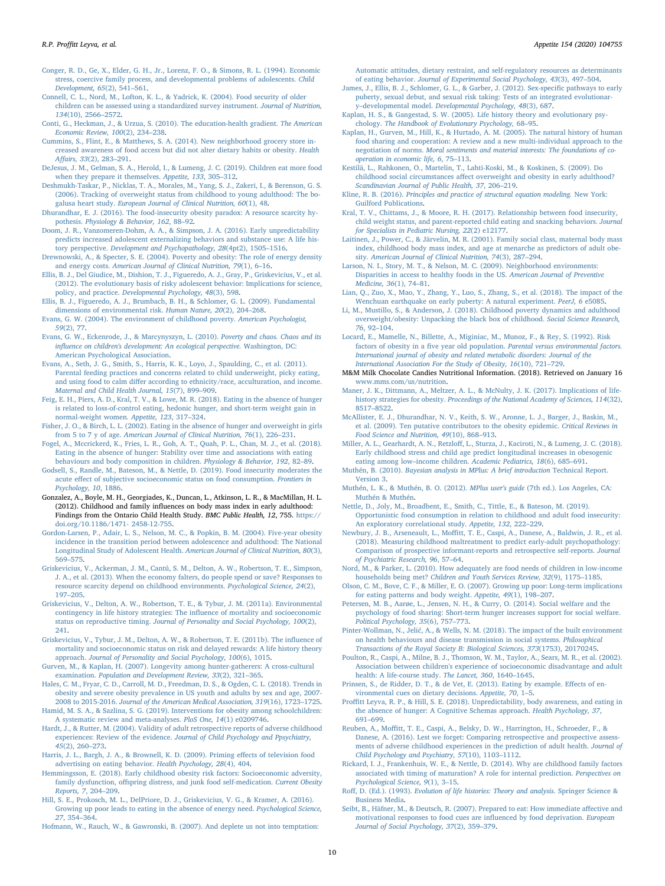- <span id="page-9-40"></span>[Conger, R. D., Ge, X., Elder, G. H., Jr., Lorenz, F. O., & Simons, R. L. \(1994\). Economic](http://refhub.elsevier.com/S0195-6663(19)31648-4/sref12) [stress, coercive family process, and developmental problems of adolescents.](http://refhub.elsevier.com/S0195-6663(19)31648-4/sref12) Child [Development, 65](http://refhub.elsevier.com/S0195-6663(19)31648-4/sref12)(2), 541–561.
- <span id="page-9-39"></span>[Connell, C. L., Nord, M., Lofton, K. L., & Yadrick, K. \(2004\). Food security of older](http://refhub.elsevier.com/S0195-6663(19)31648-4/sref13) [children can be assessed using a standardized survey instrument.](http://refhub.elsevier.com/S0195-6663(19)31648-4/sref13) Journal of Nutrition, 134[\(10\), 2566](http://refhub.elsevier.com/S0195-6663(19)31648-4/sref13)–2572.
- <span id="page-9-7"></span>[Conti, G., Heckman, J., & Urzua, S. \(2010\). The education-health gradient.](http://refhub.elsevier.com/S0195-6663(19)31648-4/sref14) The American [Economic Review, 100](http://refhub.elsevier.com/S0195-6663(19)31648-4/sref14)(2), 234–238.
- <span id="page-9-9"></span>[Cummins, S., Flint, E., & Matthews, S. A. \(2014\). New neighborhood grocery store in](http://refhub.elsevier.com/S0195-6663(19)31648-4/sref15)[creased awareness of food access but did not alter dietary habits or obesity.](http://refhub.elsevier.com/S0195-6663(19)31648-4/sref15) Health Affairs, 33[\(2\), 283](http://refhub.elsevier.com/S0195-6663(19)31648-4/sref15)–291.
- <span id="page-9-44"></span>[DeJesus, J. M., Gelman, S. A., Herold, I., & Lumeng, J. C. \(2019\). Children eat more food](http://refhub.elsevier.com/S0195-6663(19)31648-4/sref16) [when they prepare it themselves.](http://refhub.elsevier.com/S0195-6663(19)31648-4/sref16) Appetite, 133, 305–312.
- <span id="page-9-31"></span>[Deshmukh-Taskar, P., Nicklas, T. A., Morales, M., Yang, S. J., Zakeri, I., & Berenson, G. S.](http://refhub.elsevier.com/S0195-6663(19)31648-4/sref17) [\(2006\). Tracking of overweight status from childhood to young adulthood: The bo](http://refhub.elsevier.com/S0195-6663(19)31648-4/sref17)galusa heart study. [European Journal of Clinical Nutrition, 60](http://refhub.elsevier.com/S0195-6663(19)31648-4/sref17)(1), 48.
- <span id="page-9-55"></span>[Dhurandhar, E. J. \(2016\). The food-insecurity obesity paradox: A resource scarcity hy](http://refhub.elsevier.com/S0195-6663(19)31648-4/sref18)pothesis. [Physiology & Behavior, 162](http://refhub.elsevier.com/S0195-6663(19)31648-4/sref18), 88–92.
- <span id="page-9-24"></span>[Doom, J. R., Vanzomeren-Dohm, A. A., & Simpson, J. A. \(2016\). Early unpredictability](http://refhub.elsevier.com/S0195-6663(19)31648-4/sref19) [predicts increased adolescent externalizing behaviors and substance use: A life his](http://refhub.elsevier.com/S0195-6663(19)31648-4/sref19)tory perspective. [Development and Psychopathology, 28](http://refhub.elsevier.com/S0195-6663(19)31648-4/sref19)(4pt2), 1505–1516.
- <span id="page-9-8"></span>[Drewnowski, A., & Specter, S. E. \(2004\). Poverty and obesity: The role of energy density](http://refhub.elsevier.com/S0195-6663(19)31648-4/sref20) and energy costs. [American Journal of Clinical Nutrition, 79](http://refhub.elsevier.com/S0195-6663(19)31648-4/sref20)(1), 6–16.
- <span id="page-9-21"></span>[Ellis, B. J., Del Giudice, M., Dishion, T. J., Figueredo, A. J., Gray, P., Griskevicius, V., et al.](http://refhub.elsevier.com/S0195-6663(19)31648-4/sref21) [\(2012\). The evolutionary basis of risky adolescent behavior: Implications for science,](http://refhub.elsevier.com/S0195-6663(19)31648-4/sref21) policy, and practice. [Developmental Psychology, 48](http://refhub.elsevier.com/S0195-6663(19)31648-4/sref21)(3), 598.
- <span id="page-9-11"></span>[Ellis, B. J., Figueredo, A. J., Brumbach, B. H., & Schlomer, G. L. \(2009\). Fundamental](http://refhub.elsevier.com/S0195-6663(19)31648-4/sref22) [dimensions of environmental risk.](http://refhub.elsevier.com/S0195-6663(19)31648-4/sref22) Human Nature, 20(2), 204–268.
- <span id="page-9-27"></span>[Evans, G. W. \(2004\). The environment of childhood poverty.](http://refhub.elsevier.com/S0195-6663(19)31648-4/sref23) American Psychologist, 59[\(2\), 77](http://refhub.elsevier.com/S0195-6663(19)31648-4/sref23).
- <span id="page-9-29"></span>[Evans, G. W., Eckenrode, J., & Marcynyszyn, L. \(2010\).](http://refhub.elsevier.com/S0195-6663(19)31648-4/sref24) Poverty and chaos. Chaos and its infl[uence on children's development: An ecological perspective.](http://refhub.elsevier.com/S0195-6663(19)31648-4/sref24) Washington, DC: [American Psychological Association.](http://refhub.elsevier.com/S0195-6663(19)31648-4/sref24)
- <span id="page-9-46"></span>[Evans, A., Seth, J. G., Smith, S., Harris, K. K., Loyo, J., Spaulding, C., et al. \(2011\).](http://refhub.elsevier.com/S0195-6663(19)31648-4/sref25) [Parental feeding practices and concerns related to child underweight, picky eating,](http://refhub.elsevier.com/S0195-6663(19)31648-4/sref25) and using food to calm diff[er according to ethnicity/race, acculturation, and income.](http://refhub.elsevier.com/S0195-6663(19)31648-4/sref25) [Maternal and Child Health Journal, 15](http://refhub.elsevier.com/S0195-6663(19)31648-4/sref25)(7), 899–909.
- <span id="page-9-16"></span>Feig, [E. H., Piers, A. D., Kral, T. V., & Lowe, M. R. \(2018\). Eating in the absence of hunger](http://refhub.elsevier.com/S0195-6663(19)31648-4/sref26) [is related to loss-of-control eating, hedonic hunger, and short-term weight gain in](http://refhub.elsevier.com/S0195-6663(19)31648-4/sref26) [normal-weight women.](http://refhub.elsevier.com/S0195-6663(19)31648-4/sref26) Appetite, 123, 317–324.
- <span id="page-9-17"></span>[Fisher, J. O., & Birch, L. L. \(2002\). Eating in the absence of hunger and overweight in girls](http://refhub.elsevier.com/S0195-6663(19)31648-4/sref27) from 5 to 7 y of age. [American Journal of Clinical Nutrition, 76](http://refhub.elsevier.com/S0195-6663(19)31648-4/sref27)(1), 226–231.
- <span id="page-9-18"></span>[Fogel, A., Mccrickerd, K., Fries, L. R., Goh, A. T., Quah, P. L., Chan, M. J., et al. \(2018\).](http://refhub.elsevier.com/S0195-6663(19)31648-4/sref28) [Eating in the absence of hunger: Stability over time and associations with eating](http://refhub.elsevier.com/S0195-6663(19)31648-4/sref28) [behaviours and body composition in children.](http://refhub.elsevier.com/S0195-6663(19)31648-4/sref28) Physiology & Behavior, 192, 82–89.
- <span id="page-9-57"></span>[Godsell, S., Randle, M., Bateson, M., & Nettle, D. \(2019\). Food insecurity moderates the](http://refhub.elsevier.com/S0195-6663(19)31648-4/sref29) acute eff[ect of subjective socioeconomic status on food consumption.](http://refhub.elsevier.com/S0195-6663(19)31648-4/sref29) Frontiers in [Psychology, 10](http://refhub.elsevier.com/S0195-6663(19)31648-4/sref29), 1886.
- <span id="page-9-32"></span>Gonzalez, A., Boyle, M. H., Georgiades, K., Duncan, L., Atkinson, L. R., & MacMillan, H. L. (2012). Childhood and family influences on body mass index in early adulthood: Findings from the Ontario Child Health Study. BMC Public Health, 12, 755. [https://](https://doi.org/10.1186/1471- 2458-12-755) [doi.org/10.1186/1471- 2458-12-755](https://doi.org/10.1186/1471- 2458-12-755).
- <span id="page-9-33"></span>[Gordon-Larsen, P., Adair, L. S., Nelson, M. C., & Popkin, B. M. \(2004\). Five-year obesity](http://refhub.elsevier.com/S0195-6663(19)31648-4/sref31) [incidence in the transition period between adolescence and adulthood: The National](http://refhub.elsevier.com/S0195-6663(19)31648-4/sref31) [Longitudinal Study of Adolescent Health.](http://refhub.elsevier.com/S0195-6663(19)31648-4/sref31) American Journal of Clinical Nutrition, 80(3), 569–[575](http://refhub.elsevier.com/S0195-6663(19)31648-4/sref31).
- <span id="page-9-23"></span>[Griskevicius, V., Ackerman, J. M., Cantú, S. M., Delton, A. W., Robertson, T. E., Simpson,](http://refhub.elsevier.com/S0195-6663(19)31648-4/sref32) [J. A., et al. \(2013\). When the economy falters, do people spend or save? Responses to](http://refhub.elsevier.com/S0195-6663(19)31648-4/sref32) [resource scarcity depend on childhood environments.](http://refhub.elsevier.com/S0195-6663(19)31648-4/sref32) Psychological Science, 24(2), 197–[205](http://refhub.elsevier.com/S0195-6663(19)31648-4/sref32).
- <span id="page-9-20"></span>[Griskevicius, V., Delton, A. W., Robertson, T. E., & Tybur, J. M. \(2011a\). Environmental](http://refhub.elsevier.com/S0195-6663(19)31648-4/sref33) [contingency in life history strategies: The in](http://refhub.elsevier.com/S0195-6663(19)31648-4/sref33)fluence of mortality and socioeconomic status on reproductive timing. [Journal of Personality and Social Psychology, 100](http://refhub.elsevier.com/S0195-6663(19)31648-4/sref33)(2), [241](http://refhub.elsevier.com/S0195-6663(19)31648-4/sref33).
- <span id="page-9-22"></span>[Griskevicius, V., Tybur, J. M., Delton, A. W., & Robertson, T. E. \(2011b\). The in](http://refhub.elsevier.com/S0195-6663(19)31648-4/sref34)fluence of [mortality and socioeconomic status on risk and delayed rewards: A life history theory](http://refhub.elsevier.com/S0195-6663(19)31648-4/sref34) approach. [Journal of Personality and Social Psychology, 100](http://refhub.elsevier.com/S0195-6663(19)31648-4/sref34)(6), 1015.
- <span id="page-9-52"></span>[Gurven, M., & Kaplan, H. \(2007\). Longevity among hunter](http://refhub.elsevier.com/S0195-6663(19)31648-4/sref35)‐gatherers: A cross‐cultural examination. [Population and Development Review, 33](http://refhub.elsevier.com/S0195-6663(19)31648-4/sref35)(2), 321–365.
- <span id="page-9-0"></span>[Hales, C. M., Fryar, C. D., Carroll, M. D., Freedman, D. S., & Ogden, C. L. \(2018\). Trends in](http://refhub.elsevier.com/S0195-6663(19)31648-4/sref36) [obesity and severe obesity prevalence in US youth and adults by sex and age, 2007-](http://refhub.elsevier.com/S0195-6663(19)31648-4/sref36) 2008 to 2015-2016. [Journal of the American Medical Association, 319](http://refhub.elsevier.com/S0195-6663(19)31648-4/sref36)(16), 1723–1725. [Hamid, M. S. A., & Sazlina, S. G. \(2019\). Interventions for obesity among schoolchildren:](http://refhub.elsevier.com/S0195-6663(19)31648-4/sref37)
- <span id="page-9-10"></span>[A systematic review and meta-analyses.](http://refhub.elsevier.com/S0195-6663(19)31648-4/sref37) PloS One, 14(1) e0209746. Hardt, [J., & Rutter, M. \(2004\). Validity of adult retrospective reports of adverse childhood](http://refhub.elsevier.com/S0195-6663(19)31648-4/sref38)
- <span id="page-9-35"></span>experiences: Review of the evidence. [Journal of Child Psychology and Ppsychiatry,](http://refhub.elsevier.com/S0195-6663(19)31648-4/sref38) 45[\(2\), 260](http://refhub.elsevier.com/S0195-6663(19)31648-4/sref38)–273.
- <span id="page-9-45"></span>[Harris, J. L., Bargh, J. A., & Brownell, K. D. \(2009\). Priming e](http://refhub.elsevier.com/S0195-6663(19)31648-4/sref39)ffects of television food [advertising on eating behavior.](http://refhub.elsevier.com/S0195-6663(19)31648-4/sref39) Health Psychology, 28(4), 404.
- <span id="page-9-60"></span>[Hemmingsson, E. \(2018\). Early childhood obesity risk factors: Socioeconomic adversity,](http://refhub.elsevier.com/S0195-6663(19)31648-4/sref40) family dysfunction, off[spring distress, and junk food self-medication.](http://refhub.elsevier.com/S0195-6663(19)31648-4/sref40) Current Obesity [Reports, 7](http://refhub.elsevier.com/S0195-6663(19)31648-4/sref40), 204–209.
- <span id="page-9-14"></span>[Hill, S. E., Prokosch, M. L., DelPriore, D. J., Griskevicius, V. G., & Kramer, A. \(2016\).](http://refhub.elsevier.com/S0195-6663(19)31648-4/sref41) [Growing up poor leads to eating in the absence of energy need.](http://refhub.elsevier.com/S0195-6663(19)31648-4/sref41) Psychological Science, 27[, 354](http://refhub.elsevier.com/S0195-6663(19)31648-4/sref41)–364.

<span id="page-9-41"></span>[Hofmann, W., Rauch, W., & Gawronski, B. \(2007\). And deplete us not into temptation:](http://refhub.elsevier.com/S0195-6663(19)31648-4/sref42)

[Automatic attitudes, dietary restraint, and self-regulatory resources as determinants](http://refhub.elsevier.com/S0195-6663(19)31648-4/sref42) of eating behavior. [Journal of Experimental Social Psychology, 43](http://refhub.elsevier.com/S0195-6663(19)31648-4/sref42)(3), 497–504.

- <span id="page-9-25"></span>[James, J., Ellis, B. J., Schlomer, G. L., & Garber, J. \(2012\). Sex-speci](http://refhub.elsevier.com/S0195-6663(19)31648-4/sref43)fic pathways to early [puberty, sexual debut, and sexual risk taking: Tests of an integrated evolutionar](http://refhub.elsevier.com/S0195-6663(19)31648-4/sref43)y–developmental model. [Developmental Psychology, 48](http://refhub.elsevier.com/S0195-6663(19)31648-4/sref43)(3), 687.
- <span id="page-9-12"></span>[Kaplan, H. S., & Gangestad, S. W. \(2005\). Life history theory and evolutionary psy](http://refhub.elsevier.com/S0195-6663(19)31648-4/sref44)chology. [The Handbook of Evolutionary Psychology,](http://refhub.elsevier.com/S0195-6663(19)31648-4/sref44) 68–95.
- <span id="page-9-53"></span>[Kaplan, H., Gurven, M., Hill, K., & Hurtado, A. M. \(2005\). The natural history of human](http://refhub.elsevier.com/S0195-6663(19)31648-4/sref45) [food sharing and cooperation: A review and a new multi-individual approach to the](http://refhub.elsevier.com/S0195-6663(19)31648-4/sref45) negotiation of norms. [Moral sentiments and material interests: The foundations of co](http://refhub.elsevier.com/S0195-6663(19)31648-4/sref45)[operation in economic life, 6](http://refhub.elsevier.com/S0195-6663(19)31648-4/sref45), 75–113.
- <span id="page-9-4"></span>[Kestilä, L., Rahkonen, O., Martelin, T., Lahti-Koski, M., & Koskinen, S. \(2009\). Do](http://refhub.elsevier.com/S0195-6663(19)31648-4/sref46) childhood social circumstances aff[ect overweight and obesity in early adulthood?](http://refhub.elsevier.com/S0195-6663(19)31648-4/sref46) [Scandinavian Journal of Public Health, 37](http://refhub.elsevier.com/S0195-6663(19)31648-4/sref46), 206–219.
- <span id="page-9-49"></span>Kline, R. B. (2016). [Principles and practice of structural equation modeling.](http://refhub.elsevier.com/S0195-6663(19)31648-4/sref48) New York: [Guilford Publications.](http://refhub.elsevier.com/S0195-6663(19)31648-4/sref48)
- <span id="page-9-58"></span>[Kral, T. V., Chittams, J., & Moore, R. H. \(2017\). Relationship between food insecurity,](http://refhub.elsevier.com/S0195-6663(19)31648-4/sref49) child weight status, and parent‐[reported child eating and snacking behaviors.](http://refhub.elsevier.com/S0195-6663(19)31648-4/sref49) Journal [for Specialists in Pediatric Nursing, 22](http://refhub.elsevier.com/S0195-6663(19)31648-4/sref49)(2) e12177.
- <span id="page-9-51"></span>[Laitinen, J., Power, C., & Järvelin, M. R. \(2001\). Family social class, maternal body mass](http://refhub.elsevier.com/S0195-6663(19)31648-4/sref50) [index, childhood body mass index, and age at menarche as predictors of adult obe](http://refhub.elsevier.com/S0195-6663(19)31648-4/sref50)sity. [American Journal of Clinical Nutrition, 74](http://refhub.elsevier.com/S0195-6663(19)31648-4/sref50)(3), 287–294.
- <span id="page-9-6"></span>[Larson, N. I., Story, M. T., & Nelson, M. C. \(2009\). Neighborhood environments:](http://refhub.elsevier.com/S0195-6663(19)31648-4/sref51) [Disparities in access to healthy foods in the US.](http://refhub.elsevier.com/S0195-6663(19)31648-4/sref51) American Journal of Preventive [Medicine,](http://refhub.elsevier.com/S0195-6663(19)31648-4/sref51) 36(1), 74–81.
- <span id="page-9-30"></span>[Lian, Q., Zuo, X., Mao, Y., Zhang, Y., Luo, S., Zhang, S., et al. \(2018\). The impact of the](http://refhub.elsevier.com/S0195-6663(19)31648-4/sref52) [Wenchuan earthquake on early puberty: A natural experiment.](http://refhub.elsevier.com/S0195-6663(19)31648-4/sref52) PeerJ, 6 e5085.
- <span id="page-9-56"></span>[Li, M., Mustillo, S., & Anderson, J. \(2018\). Childhood poverty dynamics and adulthood](http://refhub.elsevier.com/S0195-6663(19)31648-4/sref53) [overweight/obesity: Unpacking the black box of childhood.](http://refhub.elsevier.com/S0195-6663(19)31648-4/sref53) Social Science Research, 76[, 92](http://refhub.elsevier.com/S0195-6663(19)31648-4/sref53)–104.
- <span id="page-9-1"></span>[Locard, E., Mamelle, N., Billette, A., Miginiac, M., Munoz, F., & Rey, S. \(1992\). Risk](http://refhub.elsevier.com/S0195-6663(19)31648-4/sref54) factors of obesity in a five year old population. [Parental versus environmental factors.](http://refhub.elsevier.com/S0195-6663(19)31648-4/sref54) [International journal of obesity and related metabolic disorders: Journal of the](http://refhub.elsevier.com/S0195-6663(19)31648-4/sref54) [International Association For the Study of Obesity, 16](http://refhub.elsevier.com/S0195-6663(19)31648-4/sref54)(10), 721–729.
- <span id="page-9-47"></span>M&M Milk Chocolate Candies Nutritional Information. (2018). Retrieved on January 16 [www.mms.com/us/nutrition.](http://www.mms.com/us/nutrition)
- <span id="page-9-38"></span>[Maner, J. K., Dittmann, A., Meltzer, A. L., & McNulty, J. K. \(2017\). Implications of life](http://refhub.elsevier.com/S0195-6663(19)31648-4/sref56)history strategies for obesity. [Proceedings of the National Academy of Sciences, 114](http://refhub.elsevier.com/S0195-6663(19)31648-4/sref56)(32), 8517–[8522](http://refhub.elsevier.com/S0195-6663(19)31648-4/sref56).
- <span id="page-9-2"></span>[McAllister, E. J., Dhurandhar, N. V., Keith, S. W., Aronne, L. J., Barger, J., Baskin, M.,](http://refhub.elsevier.com/S0195-6663(19)31648-4/sref57) [et al. \(2009\). Ten putative contributors to the obesity epidemic.](http://refhub.elsevier.com/S0195-6663(19)31648-4/sref57) Critical Reviews in [Food Science and Nutrition, 49](http://refhub.elsevier.com/S0195-6663(19)31648-4/sref57)(10), 868–913.
- <span id="page-9-26"></span>Miller, A. L., Gearhardt, A. N., Retzloff[, L., Sturza, J., Kaciroti, N., & Lumeng, J. C. \(2018\).](http://refhub.elsevier.com/S0195-6663(19)31648-4/sref58) [Early childhood stress and child age predict longitudinal increases in obesogenic](http://refhub.elsevier.com/S0195-6663(19)31648-4/sref58) eating among low–income children. [Academic Pediatrics, 18](http://refhub.elsevier.com/S0195-6663(19)31648-4/sref58)(6), 685–691.
- <span id="page-9-50"></span>Muthén, B. (2010). [Bayesian analysis in MPlus: A brief introduction](http://refhub.elsevier.com/S0195-6663(19)31648-4/sref59) Technical Report. [Version 3.](http://refhub.elsevier.com/S0195-6663(19)31648-4/sref59)
- <span id="page-9-48"></span>[Muthén, L. K., & Muthén, B. O. \(2012\).](http://refhub.elsevier.com/S0195-6663(19)31648-4/sref60) MPlus user's guide (7th ed.). Los Angeles, CA: [Muthén & Muthén.](http://refhub.elsevier.com/S0195-6663(19)31648-4/sref60)
- <span id="page-9-59"></span>[Nettle, D., Joly, M., Broadbent, E., Smith, C., Tittle, E., & Bateson, M. \(2019\).](http://refhub.elsevier.com/S0195-6663(19)31648-4/sref61) [Opportunistic food consumption in relation to childhood and adult food insecurity:](http://refhub.elsevier.com/S0195-6663(19)31648-4/sref61) [An exploratory correlational study.](http://refhub.elsevier.com/S0195-6663(19)31648-4/sref61) Appetite, 132, 222–229.
- <span id="page-9-36"></span>Newbury, J. B., Arseneault, L., Moffi[tt, T. E., Caspi, A., Danese, A., Baldwin, J. R., et al.](http://refhub.elsevier.com/S0195-6663(19)31648-4/sref62) [\(2018\). Measuring childhood maltreatment to predict early-adult psychopathology:](http://refhub.elsevier.com/S0195-6663(19)31648-4/sref62) [Comparison of prospective informant-reports and retrospective self-reports.](http://refhub.elsevier.com/S0195-6663(19)31648-4/sref62) Journal [of Psychiatric Research, 96](http://refhub.elsevier.com/S0195-6663(19)31648-4/sref62), 57–64.
- <span id="page-9-28"></span>[Nord, M., & Parker, L. \(2010\). How adequately are food needs of children in low-income](http://refhub.elsevier.com/S0195-6663(19)31648-4/sref63) households being met? [Children and Youth Services Review, 32](http://refhub.elsevier.com/S0195-6663(19)31648-4/sref63)(9), 1175–1185.
- <span id="page-9-3"></span>[Olson, C. M., Bove, C. F., & Miller, E. O. \(2007\). Growing up poor: Long-term implications](http://refhub.elsevier.com/S0195-6663(19)31648-4/sref64) [for eating patterns and body weight.](http://refhub.elsevier.com/S0195-6663(19)31648-4/sref64) Appetite, 49(1), 198–207.
- <span id="page-9-54"></span>Petersen, [M. B., Aarøe, L., Jensen, N. H., & Curry, O. \(2014\). Social welfare and the](http://refhub.elsevier.com/S0195-6663(19)31648-4/sref65) psychology of food sharing: Short‐[term hunger increases support for social welfare.](http://refhub.elsevier.com/S0195-6663(19)31648-4/sref65) [Political Psychology, 35](http://refhub.elsevier.com/S0195-6663(19)31648-4/sref65)(6), 757–773.
- <span id="page-9-5"></span>Pinter-Wollman, N., Jelić[, A., & Wells, N. M. \(2018\). The impact of the built environment](http://refhub.elsevier.com/S0195-6663(19)31648-4/sref66) [on health behaviours and disease transmission in social systems.](http://refhub.elsevier.com/S0195-6663(19)31648-4/sref66) Philosophical [Transactions of the Royal Society B: Biological Sciences, 373](http://refhub.elsevier.com/S0195-6663(19)31648-4/sref66)(1753), 20170245.
- <span id="page-9-34"></span>[Poulton, R., Caspi, A., Milne, B. J., Thomson, W. M., Taylor, A., Sears, M. R., et al. \(2002\).](http://refhub.elsevier.com/S0195-6663(19)31648-4/sref67) [Association between children's experience of socioeconomic disadvantage and adult](http://refhub.elsevier.com/S0195-6663(19)31648-4/sref67) [health: A life-course study.](http://refhub.elsevier.com/S0195-6663(19)31648-4/sref67) The Lancet, 360, 1640–1645.
- <span id="page-9-42"></span>[Prinsen, S., de Ridder, D. T., & de Vet, E. \(2013\). Eating by example. E](http://refhub.elsevier.com/S0195-6663(19)31648-4/sref68)ffects of en[vironmental cues on dietary decisions.](http://refhub.elsevier.com/S0195-6663(19)31648-4/sref68) Appetite, 70, 1–5.
- <span id="page-9-15"></span>Proffi[tt Leyva, R. P., & Hill, S. E. \(2018\). Unpredictability, body awareness, and eating in](http://refhub.elsevier.com/S0195-6663(19)31648-4/sref69) [the absence of hunger: A Cognitive Schemas approach.](http://refhub.elsevier.com/S0195-6663(19)31648-4/sref69) Health Psychology, 37, 691–[699](http://refhub.elsevier.com/S0195-6663(19)31648-4/sref69).
- <span id="page-9-37"></span>Reuben, A., Moffi[tt, T. E., Caspi, A., Belsky, D. W., Harrington, H., Schroeder, F., &](http://refhub.elsevier.com/S0195-6663(19)31648-4/sref70) [Danese, A. \(2016\). Lest we forget: Comparing retrospective and prospective assess](http://refhub.elsevier.com/S0195-6663(19)31648-4/sref70)[ments of adverse childhood experiences in the prediction of adult health.](http://refhub.elsevier.com/S0195-6663(19)31648-4/sref70) Journal of [Child Psychology and Psychiatry, 57](http://refhub.elsevier.com/S0195-6663(19)31648-4/sref70)(10), 1103–1112.
- <span id="page-9-13"></span>[Rickard, I. J., Frankenhuis, W. E., & Nettle, D. \(2014\). Why are childhood family factors](http://refhub.elsevier.com/S0195-6663(19)31648-4/sref71) [associated with timing of maturation? A role for internal prediction.](http://refhub.elsevier.com/S0195-6663(19)31648-4/sref71) Perspectives on [Psychological Science, 9](http://refhub.elsevier.com/S0195-6663(19)31648-4/sref71)(1), 3–15.
- <span id="page-9-19"></span>Roff, D. (Ed.). (1993). [Evolution of life histories: Theory and analysis](http://refhub.elsevier.com/S0195-6663(19)31648-4/sref72). Springer Science & [Business Media.](http://refhub.elsevier.com/S0195-6663(19)31648-4/sref72)
- <span id="page-9-43"></span>[Seibt, B., Häfner, M., & Deutsch, R. \(2007\). Prepared to eat: How immediate a](http://refhub.elsevier.com/S0195-6663(19)31648-4/sref73)ffective and [motivational responses to food cues are in](http://refhub.elsevier.com/S0195-6663(19)31648-4/sref73)fluenced by food deprivation. European [Journal of Social Psychology, 37](http://refhub.elsevier.com/S0195-6663(19)31648-4/sref73)(2), 359–379.